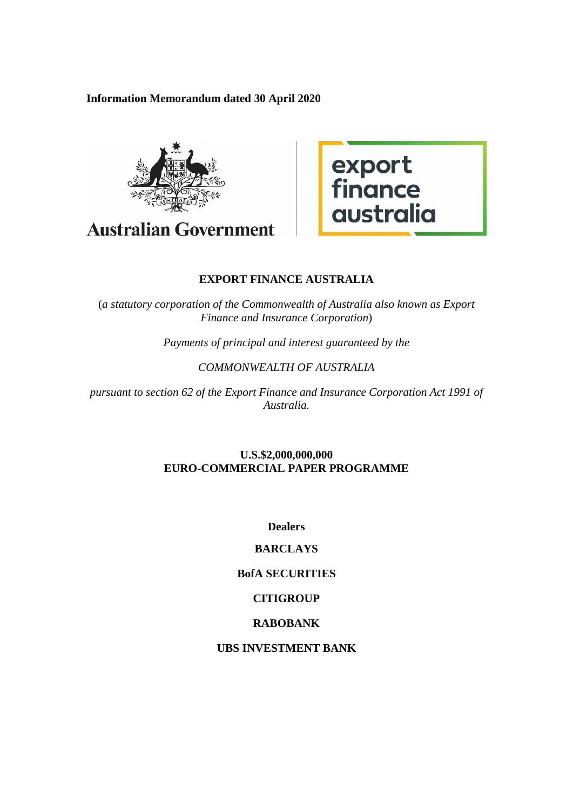**Information Memorandum dated 30 April 2020** 



**Australian Government** 



# **EXPORT FINANCE AUSTRALIA**

(*a statutory corporation of the Commonwealth of Australia also known as Export Finance and Insurance Corporation*)

*Payments of principal and interest guaranteed by the* 

## *COMMONWEALTH OF AUSTRALIA*

*pursuant to section 62 of the Export Finance and Insurance Corporation Act 1991 of Australia.* 

## **U.S.\$2,000,000,000 EURO-COMMERCIAL PAPER PROGRAMME**

**Dealers** 

## **BARCLAYS**

# **BofA SECURITIES**

## **CITIGROUP**

## **RABOBANK**

## **UBS INVESTMENT BANK**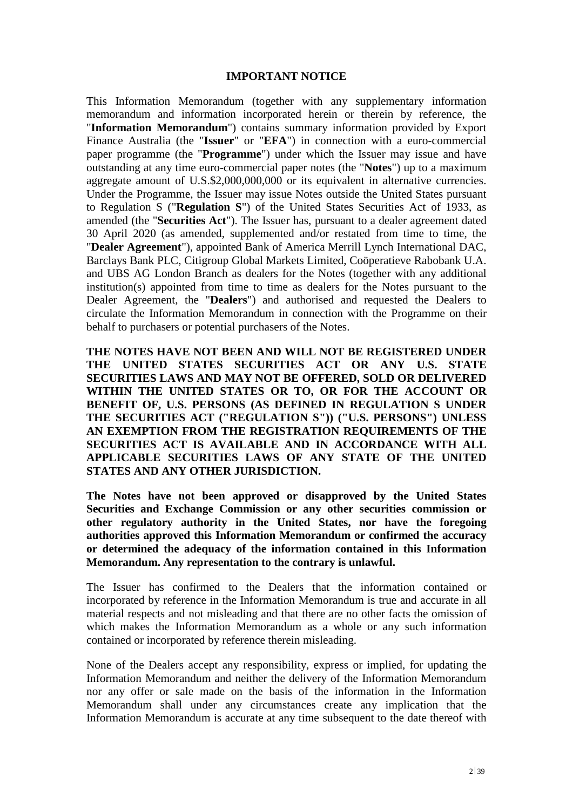#### **IMPORTANT NOTICE**

This Information Memorandum (together with any supplementary information memorandum and information incorporated herein or therein by reference, the "**Information Memorandum**") contains summary information provided by Export Finance Australia (the "**Issuer**" or "**EFA**") in connection with a euro-commercial paper programme (the "**Programme**") under which the Issuer may issue and have outstanding at any time euro-commercial paper notes (the "**Notes**") up to a maximum aggregate amount of U.S.\$2,000,000,000 or its equivalent in alternative currencies. Under the Programme, the Issuer may issue Notes outside the United States pursuant to Regulation S ("**Regulation S**") of the United States Securities Act of 1933, as amended (the "**Securities Act**"). The Issuer has, pursuant to a dealer agreement dated 30 April 2020 (as amended, supplemented and/or restated from time to time, the "**Dealer Agreement**"), appointed Bank of America Merrill Lynch International DAC, Barclays Bank PLC, Citigroup Global Markets Limited, Coöperatieve Rabobank U.A. and UBS AG London Branch as dealers for the Notes (together with any additional institution(s) appointed from time to time as dealers for the Notes pursuant to the Dealer Agreement, the "**Dealers**") and authorised and requested the Dealers to circulate the Information Memorandum in connection with the Programme on their behalf to purchasers or potential purchasers of the Notes.

**THE NOTES HAVE NOT BEEN AND WILL NOT BE REGISTERED UNDER THE UNITED STATES SECURITIES ACT OR ANY U.S. STATE SECURITIES LAWS AND MAY NOT BE OFFERED, SOLD OR DELIVERED WITHIN THE UNITED STATES OR TO, OR FOR THE ACCOUNT OR BENEFIT OF, U.S. PERSONS (AS DEFINED IN REGULATION S UNDER THE SECURITIES ACT ("REGULATION S")) ("U.S. PERSONS") UNLESS AN EXEMPTION FROM THE REGISTRATION REQUIREMENTS OF THE SECURITIES ACT IS AVAILABLE AND IN ACCORDANCE WITH ALL APPLICABLE SECURITIES LAWS OF ANY STATE OF THE UNITED STATES AND ANY OTHER JURISDICTION.** 

**The Notes have not been approved or disapproved by the United States Securities and Exchange Commission or any other securities commission or other regulatory authority in the United States, nor have the foregoing authorities approved this Information Memorandum or confirmed the accuracy or determined the adequacy of the information contained in this Information Memorandum. Any representation to the contrary is unlawful.** 

The Issuer has confirmed to the Dealers that the information contained or incorporated by reference in the Information Memorandum is true and accurate in all material respects and not misleading and that there are no other facts the omission of which makes the Information Memorandum as a whole or any such information contained or incorporated by reference therein misleading.

None of the Dealers accept any responsibility, express or implied, for updating the Information Memorandum and neither the delivery of the Information Memorandum nor any offer or sale made on the basis of the information in the Information Memorandum shall under any circumstances create any implication that the Information Memorandum is accurate at any time subsequent to the date thereof with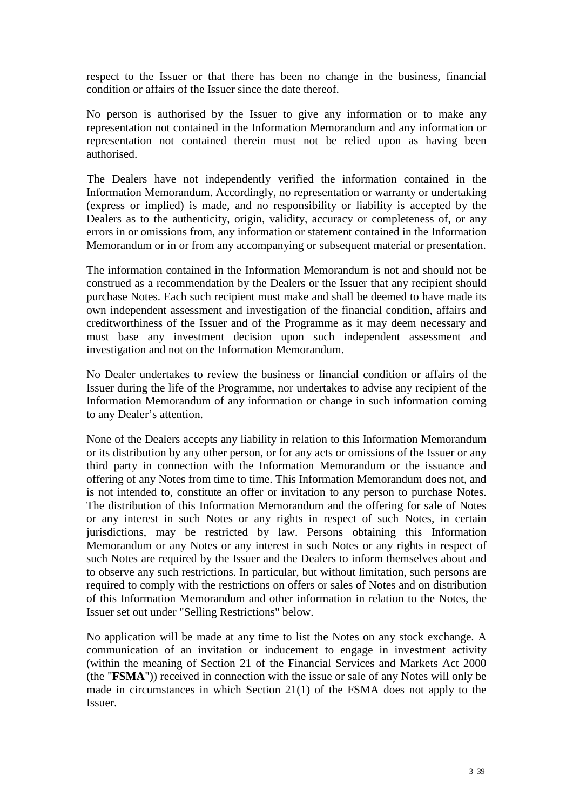respect to the Issuer or that there has been no change in the business, financial condition or affairs of the Issuer since the date thereof.

No person is authorised by the Issuer to give any information or to make any representation not contained in the Information Memorandum and any information or representation not contained therein must not be relied upon as having been authorised.

The Dealers have not independently verified the information contained in the Information Memorandum. Accordingly, no representation or warranty or undertaking (express or implied) is made, and no responsibility or liability is accepted by the Dealers as to the authenticity, origin, validity, accuracy or completeness of, or any errors in or omissions from, any information or statement contained in the Information Memorandum or in or from any accompanying or subsequent material or presentation.

The information contained in the Information Memorandum is not and should not be construed as a recommendation by the Dealers or the Issuer that any recipient should purchase Notes. Each such recipient must make and shall be deemed to have made its own independent assessment and investigation of the financial condition, affairs and creditworthiness of the Issuer and of the Programme as it may deem necessary and must base any investment decision upon such independent assessment and investigation and not on the Information Memorandum.

No Dealer undertakes to review the business or financial condition or affairs of the Issuer during the life of the Programme, nor undertakes to advise any recipient of the Information Memorandum of any information or change in such information coming to any Dealer's attention.

None of the Dealers accepts any liability in relation to this Information Memorandum or its distribution by any other person, or for any acts or omissions of the Issuer or any third party in connection with the Information Memorandum or the issuance and offering of any Notes from time to time. This Information Memorandum does not, and is not intended to, constitute an offer or invitation to any person to purchase Notes. The distribution of this Information Memorandum and the offering for sale of Notes or any interest in such Notes or any rights in respect of such Notes, in certain jurisdictions, may be restricted by law. Persons obtaining this Information Memorandum or any Notes or any interest in such Notes or any rights in respect of such Notes are required by the Issuer and the Dealers to inform themselves about and to observe any such restrictions. In particular, but without limitation, such persons are required to comply with the restrictions on offers or sales of Notes and on distribution of this Information Memorandum and other information in relation to the Notes, the Issuer set out under "Selling Restrictions" below.

No application will be made at any time to list the Notes on any stock exchange. A communication of an invitation or inducement to engage in investment activity (within the meaning of Section 21 of the Financial Services and Markets Act 2000 (the "**FSMA**")) received in connection with the issue or sale of any Notes will only be made in circumstances in which Section 21(1) of the FSMA does not apply to the Issuer.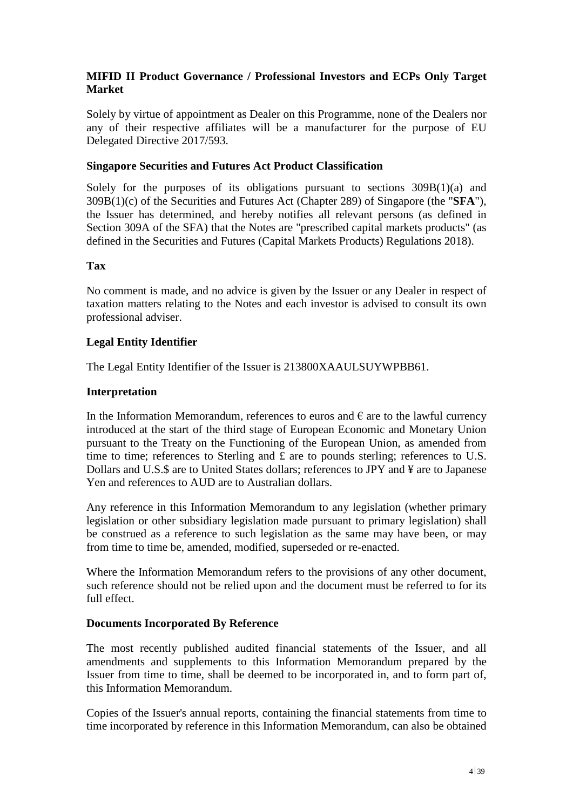## **MIFID II Product Governance / Professional Investors and ECPs Only Target Market**

Solely by virtue of appointment as Dealer on this Programme, none of the Dealers nor any of their respective affiliates will be a manufacturer for the purpose of EU Delegated Directive 2017/593.

## **Singapore Securities and Futures Act Product Classification**

Solely for the purposes of its obligations pursuant to sections  $309B(1)(a)$  and 309B(1)(c) of the Securities and Futures Act (Chapter 289) of Singapore (the "**SFA**"), the Issuer has determined, and hereby notifies all relevant persons (as defined in Section 309A of the SFA) that the Notes are "prescribed capital markets products" (as defined in the Securities and Futures (Capital Markets Products) Regulations 2018).

### **Tax**

No comment is made, and no advice is given by the Issuer or any Dealer in respect of taxation matters relating to the Notes and each investor is advised to consult its own professional adviser.

## **Legal Entity Identifier**

The Legal Entity Identifier of the Issuer is 213800XAAULSUYWPBB61.

## **Interpretation**

In the Information Memorandum, references to euros and  $\epsilon$  are to the lawful currency introduced at the start of the third stage of European Economic and Monetary Union pursuant to the Treaty on the Functioning of the European Union, as amended from time to time; references to Sterling and £ are to pounds sterling; references to U.S. Dollars and U.S.\$ are to United States dollars; references to JPY and ¥ are to Japanese Yen and references to AUD are to Australian dollars.

Any reference in this Information Memorandum to any legislation (whether primary legislation or other subsidiary legislation made pursuant to primary legislation) shall be construed as a reference to such legislation as the same may have been, or may from time to time be, amended, modified, superseded or re-enacted.

Where the Information Memorandum refers to the provisions of any other document, such reference should not be relied upon and the document must be referred to for its full effect.

### **Documents Incorporated By Reference**

The most recently published audited financial statements of the Issuer, and all amendments and supplements to this Information Memorandum prepared by the Issuer from time to time, shall be deemed to be incorporated in, and to form part of, this Information Memorandum.

Copies of the Issuer's annual reports, containing the financial statements from time to time incorporated by reference in this Information Memorandum, can also be obtained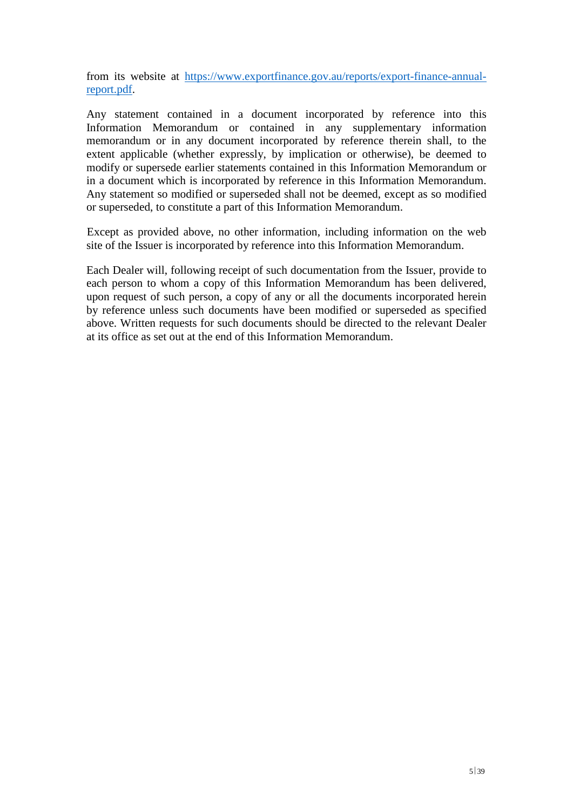from its website at [https://www.exportfinance.gov.au/reports/export-finance-annual](https://www.exportfinance.gov.au/reports/export-finance-annual-report.pdf)[report.pdf.](https://www.exportfinance.gov.au/reports/export-finance-annual-report.pdf) 

Any statement contained in a document incorporated by reference into this Information Memorandum or contained in any supplementary information memorandum or in any document incorporated by reference therein shall, to the extent applicable (whether expressly, by implication or otherwise), be deemed to modify or supersede earlier statements contained in this Information Memorandum or in a document which is incorporated by reference in this Information Memorandum. Any statement so modified or superseded shall not be deemed, except as so modified or superseded, to constitute a part of this Information Memorandum.

Except as provided above, no other information, including information on the web site of the Issuer is incorporated by reference into this Information Memorandum.

Each Dealer will, following receipt of such documentation from the Issuer, provide to each person to whom a copy of this Information Memorandum has been delivered, upon request of such person, a copy of any or all the documents incorporated herein by reference unless such documents have been modified or superseded as specified above. Written requests for such documents should be directed to the relevant Dealer at its office as set out at the end of this Information Memorandum.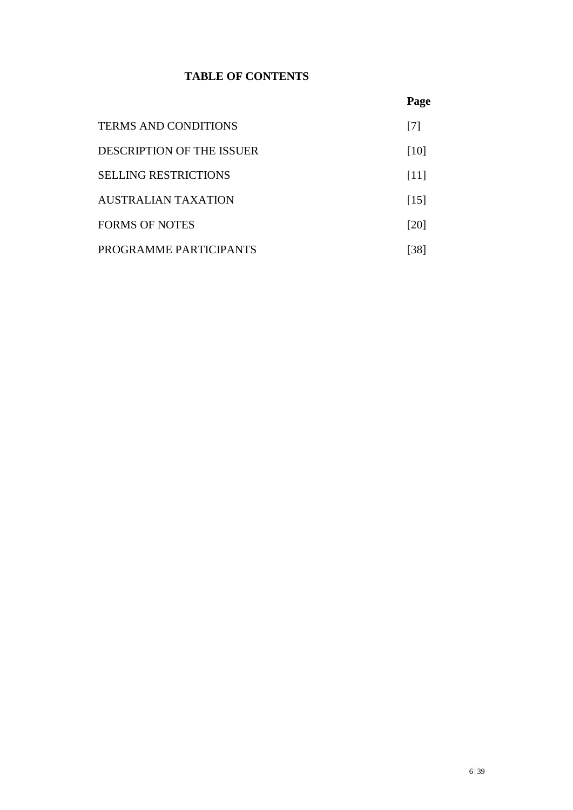# **TABLE OF CONTENTS**

|                             | Page               |
|-----------------------------|--------------------|
| <b>TERMS AND CONDITIONS</b> | [7]                |
| DESCRIPTION OF THE ISSUER   | [10]               |
| <b>SELLING RESTRICTIONS</b> | [11]               |
| AUSTRALIAN TAXATION         | $\lceil 15 \rceil$ |
| <b>FORMS OF NOTES</b>       | [20]               |
| PROGRAMME PARTICIPANTS      | 38 <sup>1</sup>    |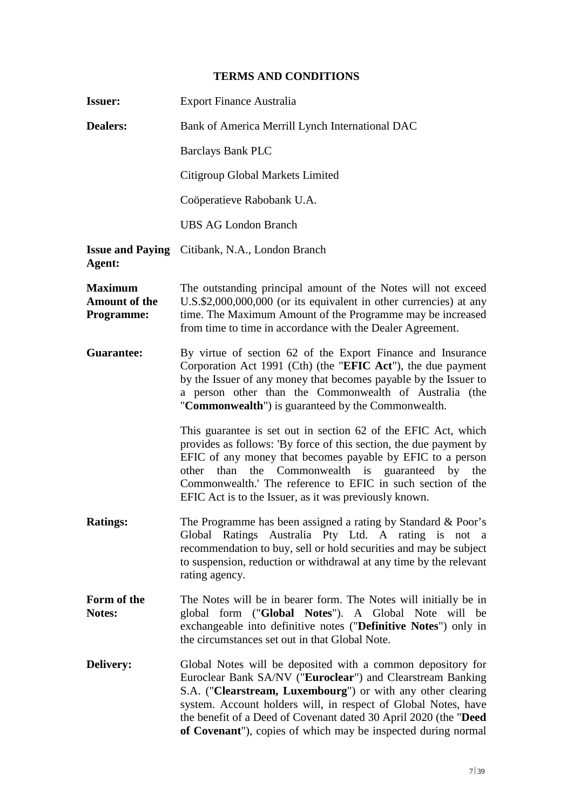# **TERMS AND CONDITIONS**

| <b>Issuer:</b>                                              | <b>Export Finance Australia</b>                                                                                                                                                                                                                                                                                                                                                                 |  |  |
|-------------------------------------------------------------|-------------------------------------------------------------------------------------------------------------------------------------------------------------------------------------------------------------------------------------------------------------------------------------------------------------------------------------------------------------------------------------------------|--|--|
| <b>Dealers:</b>                                             | Bank of America Merrill Lynch International DAC                                                                                                                                                                                                                                                                                                                                                 |  |  |
|                                                             | <b>Barclays Bank PLC</b>                                                                                                                                                                                                                                                                                                                                                                        |  |  |
|                                                             | Citigroup Global Markets Limited                                                                                                                                                                                                                                                                                                                                                                |  |  |
|                                                             | Coöperatieve Rabobank U.A.                                                                                                                                                                                                                                                                                                                                                                      |  |  |
|                                                             | <b>UBS AG London Branch</b>                                                                                                                                                                                                                                                                                                                                                                     |  |  |
| Agent:                                                      | <b>Issue and Paying</b> Citibank, N.A., London Branch                                                                                                                                                                                                                                                                                                                                           |  |  |
| <b>Maximum</b><br><b>Amount of the</b><br><b>Programme:</b> | The outstanding principal amount of the Notes will not exceed<br>U.S.\$2,000,000,000 (or its equivalent in other currencies) at any<br>time. The Maximum Amount of the Programme may be increased<br>from time to time in accordance with the Dealer Agreement.                                                                                                                                 |  |  |
| <b>Guarantee:</b>                                           | By virtue of section 62 of the Export Finance and Insurance<br>Corporation Act 1991 (Cth) (the "EFIC Act"), the due payment<br>by the Issuer of any money that becomes payable by the Issuer to<br>a person other than the Commonwealth of Australia (the<br>"Commonwealth") is guaranteed by the Commonwealth.                                                                                 |  |  |
|                                                             | This guarantee is set out in section 62 of the EFIC Act, which<br>provides as follows: 'By force of this section, the due payment by<br>EFIC of any money that becomes payable by EFIC to a person<br>Commonwealth is guaranteed by the<br>than<br>the<br>other<br>Commonwealth.' The reference to EFIC in such section of the<br>EFIC Act is to the Issuer, as it was previously known.        |  |  |
| <b>Ratings:</b>                                             | The Programme has been assigned a rating by Standard & Poor's<br>Global Ratings Australia Pty Ltd. A rating is not a<br>recommendation to buy, sell or hold securities and may be subject<br>to suspension, reduction or withdrawal at any time by the relevant<br>rating agency.                                                                                                               |  |  |
| Form of the<br>Notes:                                       | The Notes will be in bearer form. The Notes will initially be in<br>global form ("Global Notes"). A Global Note will be<br>exchangeable into definitive notes ("Definitive Notes") only in<br>the circumstances set out in that Global Note.                                                                                                                                                    |  |  |
| <b>Delivery:</b>                                            | Global Notes will be deposited with a common depository for<br>Euroclear Bank SA/NV ("Euroclear") and Clearstream Banking<br>S.A. ("Clearstream, Luxembourg") or with any other clearing<br>system. Account holders will, in respect of Global Notes, have<br>the benefit of a Deed of Covenant dated 30 April 2020 (the "Deed<br>of Covenant"), copies of which may be inspected during normal |  |  |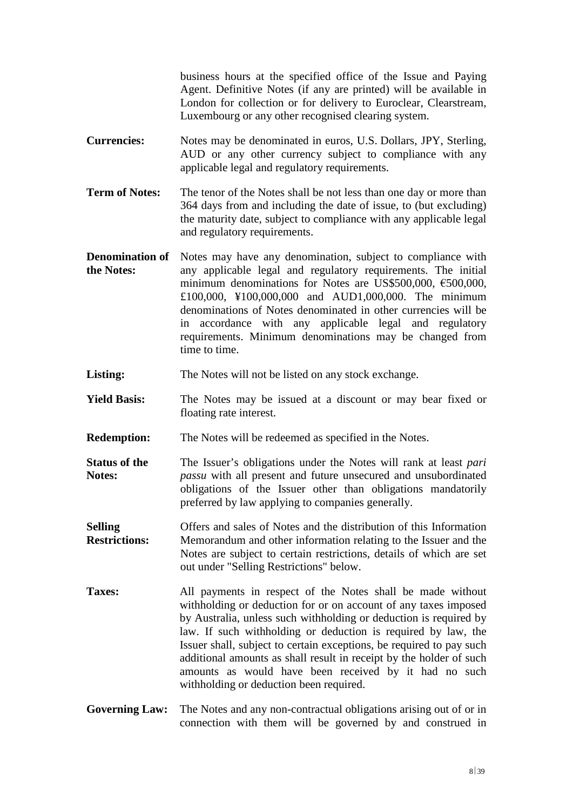business hours at the specified office of the Issue and Paying Agent. Definitive Notes (if any are printed) will be available in London for collection or for delivery to Euroclear, Clearstream, Luxembourg or any other recognised clearing system.

- **Currencies:** Notes may be denominated in euros, U.S. Dollars, JPY, Sterling, AUD or any other currency subject to compliance with any applicable legal and regulatory requirements.
- **Term of Notes:** The tenor of the Notes shall be not less than one day or more than 364 days from and including the date of issue, to (but excluding) the maturity date, subject to compliance with any applicable legal and regulatory requirements.
- **Denomination of the Notes:** Notes may have any denomination, subject to compliance with any applicable legal and regulatory requirements. The initial minimum denominations for Notes are US\$500,000, €500,000, £100,000, ¥100,000,000 and AUD1,000,000. The minimum denominations of Notes denominated in other currencies will be in accordance with any applicable legal and regulatory requirements. Minimum denominations may be changed from time to time.
- Listing: The Notes will not be listed on any stock exchange.
- **Yield Basis:** The Notes may be issued at a discount or may bear fixed or floating rate interest.
- **Redemption:** The Notes will be redeemed as specified in the Notes.
- **Status of the Notes:**  The Issuer's obligations under the Notes will rank at least *pari passu* with all present and future unsecured and unsubordinated obligations of the Issuer other than obligations mandatorily preferred by law applying to companies generally.
- **Selling Restrictions:** Offers and sales of Notes and the distribution of this Information Memorandum and other information relating to the Issuer and the Notes are subject to certain restrictions, details of which are set out under "Selling Restrictions" below.
- **Taxes:** All payments in respect of the Notes shall be made without withholding or deduction for or on account of any taxes imposed by Australia, unless such withholding or deduction is required by law. If such withholding or deduction is required by law, the Issuer shall, subject to certain exceptions, be required to pay such additional amounts as shall result in receipt by the holder of such amounts as would have been received by it had no such withholding or deduction been required.
- **Governing Law:** The Notes and any non-contractual obligations arising out of or in connection with them will be governed by and construed in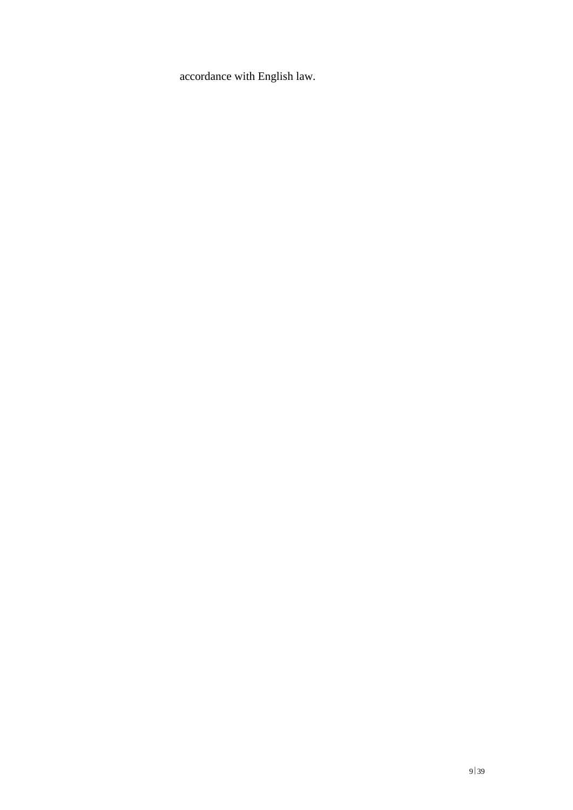accordance with English law.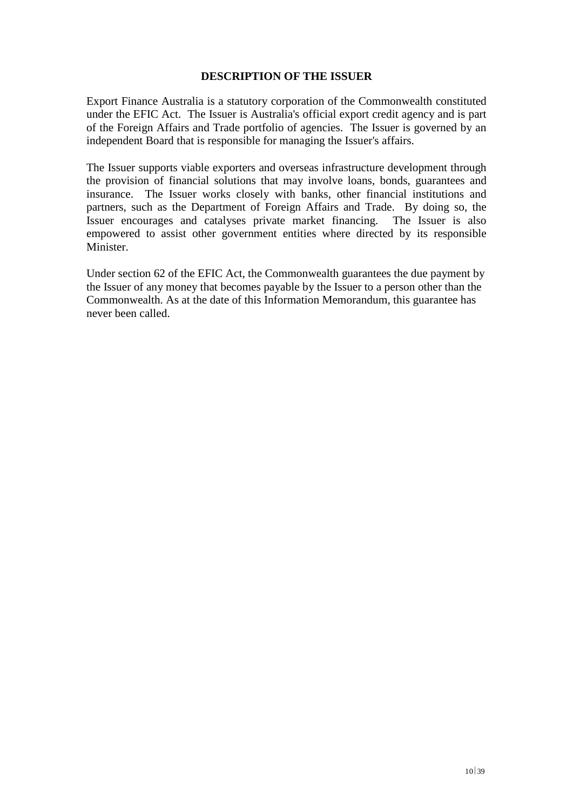### **DESCRIPTION OF THE ISSUER**

Export Finance Australia is a statutory corporation of the Commonwealth constituted under the EFIC Act. The Issuer is Australia's official export credit agency and is part of the Foreign Affairs and Trade portfolio of agencies. The Issuer is governed by an independent Board that is responsible for managing the Issuer's affairs.

The Issuer supports viable exporters and overseas infrastructure development through the provision of financial solutions that may involve loans, bonds, guarantees and insurance. The Issuer works closely with banks, other financial institutions and partners, such as the Department of Foreign Affairs and Trade. By doing so, the Issuer encourages and catalyses private market financing. The Issuer is also empowered to assist other government entities where directed by its responsible Minister.

Under section 62 of the EFIC Act, the Commonwealth guarantees the due payment by the Issuer of any money that becomes payable by the Issuer to a person other than the Commonwealth. As at the date of this Information Memorandum, this guarantee has never been called.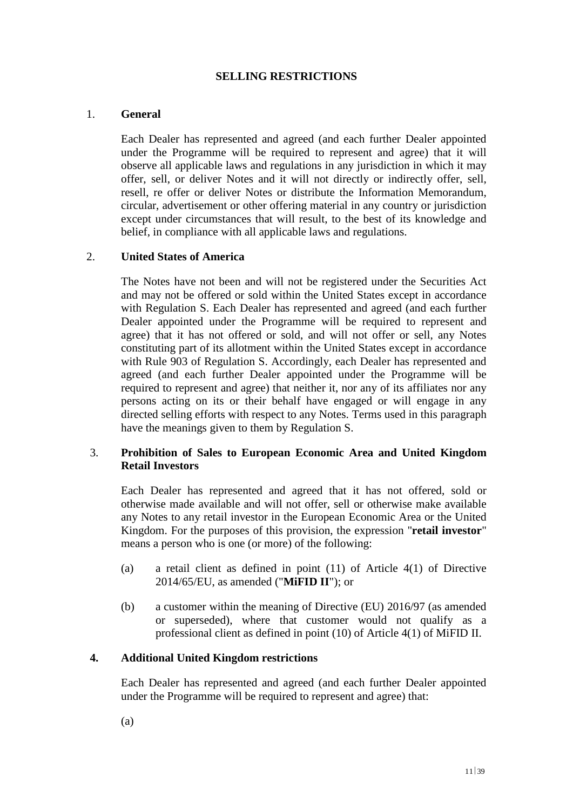## **SELLING RESTRICTIONS**

## 1. **General**

Each Dealer has represented and agreed (and each further Dealer appointed under the Programme will be required to represent and agree) that it will observe all applicable laws and regulations in any jurisdiction in which it may offer, sell, or deliver Notes and it will not directly or indirectly offer, sell, resell, re offer or deliver Notes or distribute the Information Memorandum, circular, advertisement or other offering material in any country or jurisdiction except under circumstances that will result, to the best of its knowledge and belief, in compliance with all applicable laws and regulations.

## 2. **United States of America**

The Notes have not been and will not be registered under the Securities Act and may not be offered or sold within the United States except in accordance with Regulation S. Each Dealer has represented and agreed (and each further Dealer appointed under the Programme will be required to represent and agree) that it has not offered or sold, and will not offer or sell, any Notes constituting part of its allotment within the United States except in accordance with Rule 903 of Regulation S. Accordingly, each Dealer has represented and agreed (and each further Dealer appointed under the Programme will be required to represent and agree) that neither it, nor any of its affiliates nor any persons acting on its or their behalf have engaged or will engage in any directed selling efforts with respect to any Notes. Terms used in this paragraph have the meanings given to them by Regulation S.

## 3. **Prohibition of Sales to European Economic Area and United Kingdom Retail Investors**

Each Dealer has represented and agreed that it has not offered, sold or otherwise made available and will not offer, sell or otherwise make available any Notes to any retail investor in the European Economic Area or the United Kingdom. For the purposes of this provision, the expression "**retail investor**" means a person who is one (or more) of the following:

- (a) a retail client as defined in point (11) of Article 4(1) of Directive 2014/65/EU, as amended ("**MiFID II**"); or
- (b) a customer within the meaning of Directive (EU) 2016/97 (as amended or superseded), where that customer would not qualify as a professional client as defined in point (10) of Article 4(1) of MiFID II.

### **4. Additional United Kingdom restrictions**

Each Dealer has represented and agreed (and each further Dealer appointed under the Programme will be required to represent and agree) that: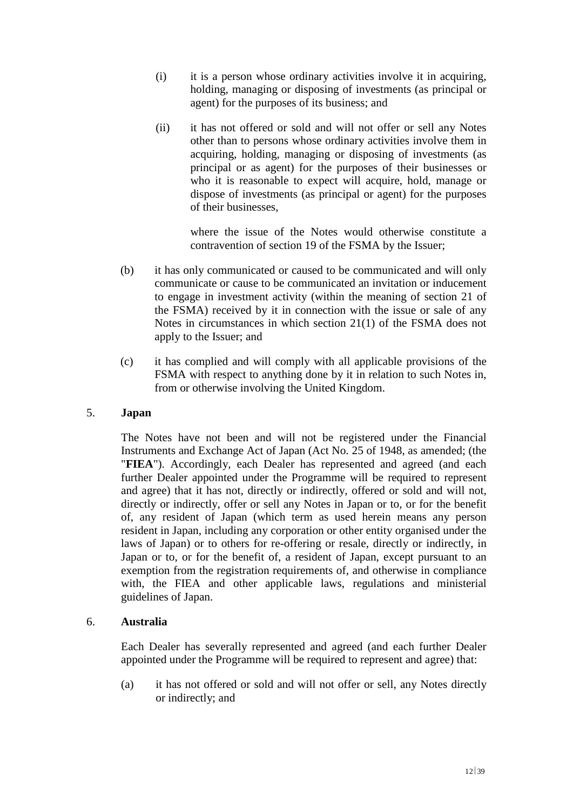- (i) it is a person whose ordinary activities involve it in acquiring, holding, managing or disposing of investments (as principal or agent) for the purposes of its business; and
- (ii) it has not offered or sold and will not offer or sell any Notes other than to persons whose ordinary activities involve them in acquiring, holding, managing or disposing of investments (as principal or as agent) for the purposes of their businesses or who it is reasonable to expect will acquire, hold, manage or dispose of investments (as principal or agent) for the purposes of their businesses,

where the issue of the Notes would otherwise constitute a contravention of section 19 of the FSMA by the Issuer;

- (b) it has only communicated or caused to be communicated and will only communicate or cause to be communicated an invitation or inducement to engage in investment activity (within the meaning of section 21 of the FSMA) received by it in connection with the issue or sale of any Notes in circumstances in which section 21(1) of the FSMA does not apply to the Issuer; and
- (c) it has complied and will comply with all applicable provisions of the FSMA with respect to anything done by it in relation to such Notes in, from or otherwise involving the United Kingdom.

### 5. **Japan**

The Notes have not been and will not be registered under the Financial Instruments and Exchange Act of Japan (Act No. 25 of 1948, as amended; (the "**FIEA**"). Accordingly, each Dealer has represented and agreed (and each further Dealer appointed under the Programme will be required to represent and agree) that it has not, directly or indirectly, offered or sold and will not, directly or indirectly, offer or sell any Notes in Japan or to, or for the benefit of, any resident of Japan (which term as used herein means any person resident in Japan, including any corporation or other entity organised under the laws of Japan) or to others for re-offering or resale, directly or indirectly, in Japan or to, or for the benefit of, a resident of Japan, except pursuant to an exemption from the registration requirements of, and otherwise in compliance with, the FIEA and other applicable laws, regulations and ministerial guidelines of Japan.

### 6. **Australia**

Each Dealer has severally represented and agreed (and each further Dealer appointed under the Programme will be required to represent and agree) that:

(a) it has not offered or sold and will not offer or sell, any Notes directly or indirectly; and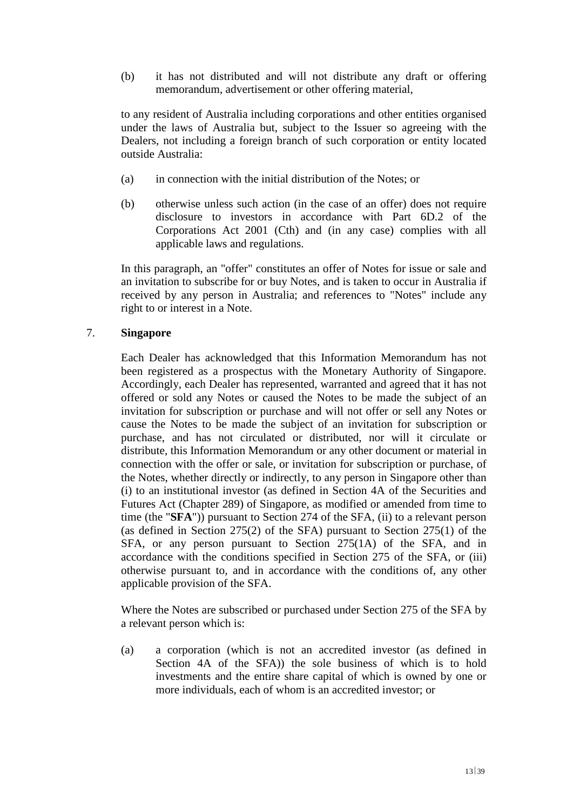(b) it has not distributed and will not distribute any draft or offering memorandum, advertisement or other offering material,

to any resident of Australia including corporations and other entities organised under the laws of Australia but, subject to the Issuer so agreeing with the Dealers, not including a foreign branch of such corporation or entity located outside Australia:

- (a) in connection with the initial distribution of the Notes; or
- (b) otherwise unless such action (in the case of an offer) does not require disclosure to investors in accordance with Part 6D.2 of the Corporations Act 2001 (Cth) and (in any case) complies with all applicable laws and regulations.

In this paragraph, an "offer" constitutes an offer of Notes for issue or sale and an invitation to subscribe for or buy Notes, and is taken to occur in Australia if received by any person in Australia; and references to "Notes" include any right to or interest in a Note.

## 7. **Singapore**

Each Dealer has acknowledged that this Information Memorandum has not been registered as a prospectus with the Monetary Authority of Singapore. Accordingly, each Dealer has represented, warranted and agreed that it has not offered or sold any Notes or caused the Notes to be made the subject of an invitation for subscription or purchase and will not offer or sell any Notes or cause the Notes to be made the subject of an invitation for subscription or purchase, and has not circulated or distributed, nor will it circulate or distribute, this Information Memorandum or any other document or material in connection with the offer or sale, or invitation for subscription or purchase, of the Notes, whether directly or indirectly, to any person in Singapore other than (i) to an institutional investor (as defined in Section 4A of the Securities and Futures Act (Chapter 289) of Singapore, as modified or amended from time to time (the "**SFA**")) pursuant to Section 274 of the SFA, (ii) to a relevant person (as defined in Section 275(2) of the SFA) pursuant to Section 275(1) of the SFA, or any person pursuant to Section 275(1A) of the SFA, and in accordance with the conditions specified in Section 275 of the SFA, or (iii) otherwise pursuant to, and in accordance with the conditions of, any other applicable provision of the SFA.

Where the Notes are subscribed or purchased under Section 275 of the SFA by a relevant person which is:

(a) a corporation (which is not an accredited investor (as defined in Section 4A of the SFA)) the sole business of which is to hold investments and the entire share capital of which is owned by one or more individuals, each of whom is an accredited investor; or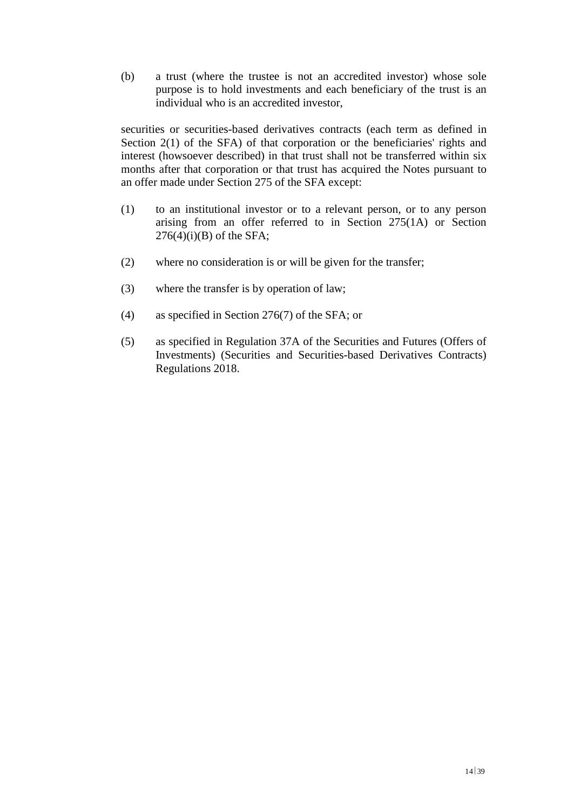(b) a trust (where the trustee is not an accredited investor) whose sole purpose is to hold investments and each beneficiary of the trust is an individual who is an accredited investor,

securities or securities-based derivatives contracts (each term as defined in Section 2(1) of the SFA) of that corporation or the beneficiaries' rights and interest (howsoever described) in that trust shall not be transferred within six months after that corporation or that trust has acquired the Notes pursuant to an offer made under Section 275 of the SFA except:

- (1) to an institutional investor or to a relevant person, or to any person arising from an offer referred to in Section 275(1A) or Section  $276(4)(i)(B)$  of the SFA;
- (2) where no consideration is or will be given for the transfer;
- (3) where the transfer is by operation of law;
- (4) as specified in Section 276(7) of the SFA; or
- (5) as specified in Regulation 37A of the Securities and Futures (Offers of Investments) (Securities and Securities-based Derivatives Contracts) Regulations 2018.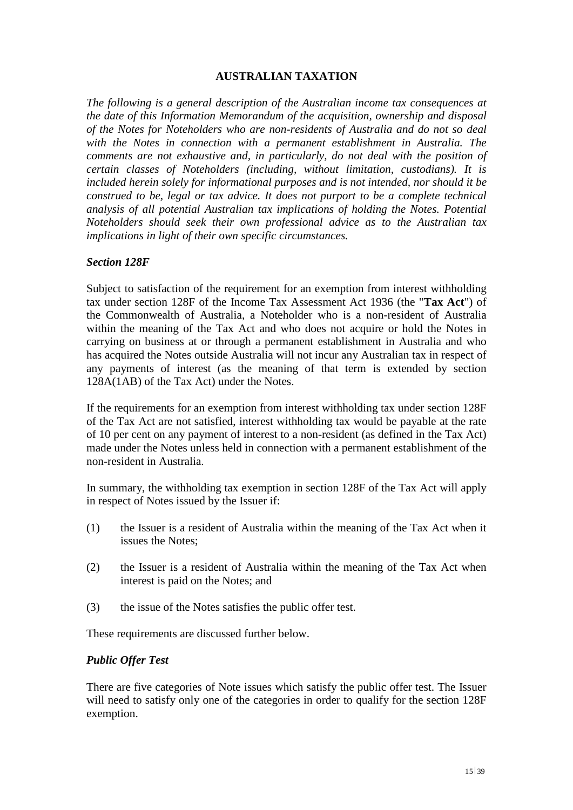## **AUSTRALIAN TAXATION**

*The following is a general description of the Australian income tax consequences at the date of this Information Memorandum of the acquisition, ownership and disposal of the Notes for Noteholders who are non-residents of Australia and do not so deal with the Notes in connection with a permanent establishment in Australia. The comments are not exhaustive and, in particularly, do not deal with the position of certain classes of Noteholders (including, without limitation, custodians). It is included herein solely for informational purposes and is not intended, nor should it be construed to be, legal or tax advice. It does not purport to be a complete technical analysis of all potential Australian tax implications of holding the Notes. Potential Noteholders should seek their own professional advice as to the Australian tax implications in light of their own specific circumstances.* 

#### *Section 128F*

Subject to satisfaction of the requirement for an exemption from interest withholding tax under section 128F of the Income Tax Assessment Act 1936 (the "**Tax Act**") of the Commonwealth of Australia, a Noteholder who is a non-resident of Australia within the meaning of the Tax Act and who does not acquire or hold the Notes in carrying on business at or through a permanent establishment in Australia and who has acquired the Notes outside Australia will not incur any Australian tax in respect of any payments of interest (as the meaning of that term is extended by section 128A(1AB) of the Tax Act) under the Notes.

If the requirements for an exemption from interest withholding tax under section 128F of the Tax Act are not satisfied, interest withholding tax would be payable at the rate of 10 per cent on any payment of interest to a non-resident (as defined in the Tax Act) made under the Notes unless held in connection with a permanent establishment of the non-resident in Australia.

In summary, the withholding tax exemption in section 128F of the Tax Act will apply in respect of Notes issued by the Issuer if:

- (1) the Issuer is a resident of Australia within the meaning of the Tax Act when it issues the Notes;
- (2) the Issuer is a resident of Australia within the meaning of the Tax Act when interest is paid on the Notes; and
- (3) the issue of the Notes satisfies the public offer test.

These requirements are discussed further below.

#### *Public Offer Test*

There are five categories of Note issues which satisfy the public offer test. The Issuer will need to satisfy only one of the categories in order to qualify for the section 128F exemption.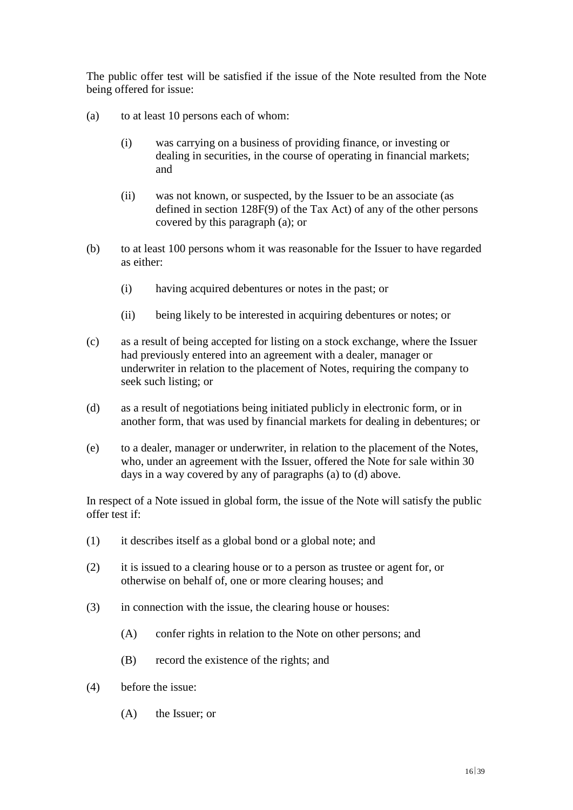The public offer test will be satisfied if the issue of the Note resulted from the Note being offered for issue:

- (a) to at least 10 persons each of whom:
	- (i) was carrying on a business of providing finance, or investing or dealing in securities, in the course of operating in financial markets; and
	- (ii) was not known, or suspected, by the Issuer to be an associate (as defined in section 128F(9) of the Tax Act) of any of the other persons covered by this paragraph (a); or
- (b) to at least 100 persons whom it was reasonable for the Issuer to have regarded as either:
	- (i) having acquired debentures or notes in the past; or
	- (ii) being likely to be interested in acquiring debentures or notes; or
- (c) as a result of being accepted for listing on a stock exchange, where the Issuer had previously entered into an agreement with a dealer, manager or underwriter in relation to the placement of Notes, requiring the company to seek such listing; or
- (d) as a result of negotiations being initiated publicly in electronic form, or in another form, that was used by financial markets for dealing in debentures; or
- (e) to a dealer, manager or underwriter, in relation to the placement of the Notes, who, under an agreement with the Issuer, offered the Note for sale within 30 days in a way covered by any of paragraphs (a) to (d) above.

In respect of a Note issued in global form, the issue of the Note will satisfy the public offer test if:

- (1) it describes itself as a global bond or a global note; and
- (2) it is issued to a clearing house or to a person as trustee or agent for, or otherwise on behalf of, one or more clearing houses; and
- (3) in connection with the issue, the clearing house or houses:
	- (A) confer rights in relation to the Note on other persons; and
	- (B) record the existence of the rights; and
- (4) before the issue:
	- (A) the Issuer; or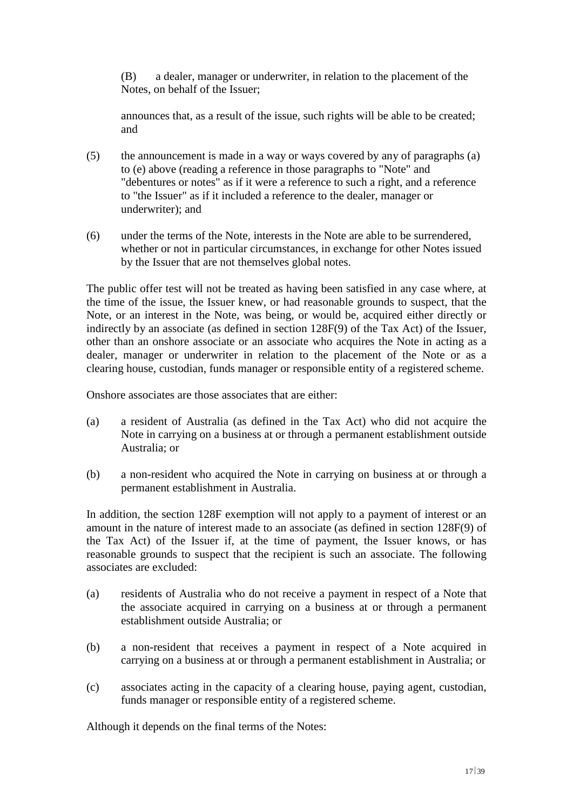(B) a dealer, manager or underwriter, in relation to the placement of the Notes, on behalf of the Issuer;

announces that, as a result of the issue, such rights will be able to be created; and

- (5) the announcement is made in a way or ways covered by any of paragraphs (a) to (e) above (reading a reference in those paragraphs to "Note" and "debentures or notes" as if it were a reference to such a right, and a reference to "the Issuer" as if it included a reference to the dealer, manager or underwriter); and
- (6) under the terms of the Note, interests in the Note are able to be surrendered, whether or not in particular circumstances, in exchange for other Notes issued by the Issuer that are not themselves global notes.

The public offer test will not be treated as having been satisfied in any case where, at the time of the issue, the Issuer knew, or had reasonable grounds to suspect, that the Note, or an interest in the Note, was being, or would be, acquired either directly or indirectly by an associate (as defined in section 128F(9) of the Tax Act) of the Issuer, other than an onshore associate or an associate who acquires the Note in acting as a dealer, manager or underwriter in relation to the placement of the Note or as a clearing house, custodian, funds manager or responsible entity of a registered scheme.

Onshore associates are those associates that are either:

- (a) a resident of Australia (as defined in the Tax Act) who did not acquire the Note in carrying on a business at or through a permanent establishment outside Australia; or
- (b) a non-resident who acquired the Note in carrying on business at or through a permanent establishment in Australia.

In addition, the section 128F exemption will not apply to a payment of interest or an amount in the nature of interest made to an associate (as defined in section 128F(9) of the Tax Act) of the Issuer if, at the time of payment, the Issuer knows, or has reasonable grounds to suspect that the recipient is such an associate. The following associates are excluded:

- (a) residents of Australia who do not receive a payment in respect of a Note that the associate acquired in carrying on a business at or through a permanent establishment outside Australia; or
- (b) a non-resident that receives a payment in respect of a Note acquired in carrying on a business at or through a permanent establishment in Australia; or
- (c) associates acting in the capacity of a clearing house, paying agent, custodian, funds manager or responsible entity of a registered scheme.

Although it depends on the final terms of the Notes: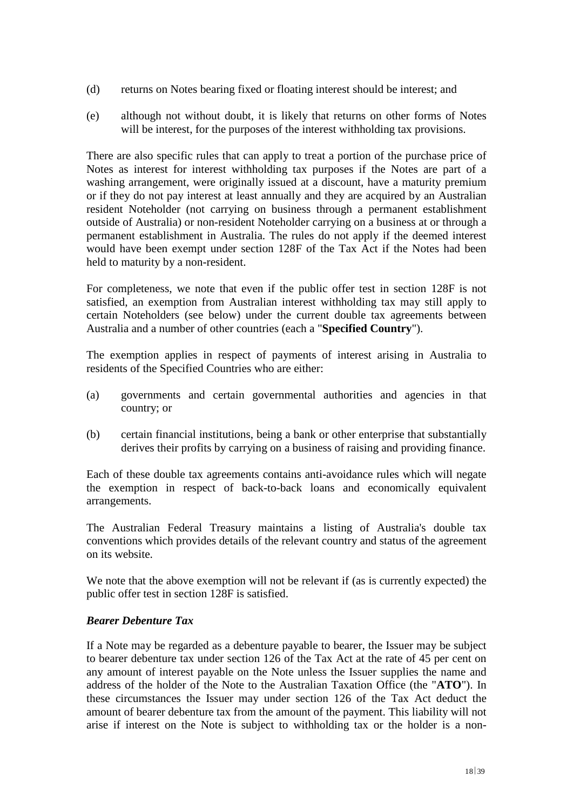- (d) returns on Notes bearing fixed or floating interest should be interest; and
- (e) although not without doubt, it is likely that returns on other forms of Notes will be interest, for the purposes of the interest withholding tax provisions.

There are also specific rules that can apply to treat a portion of the purchase price of Notes as interest for interest withholding tax purposes if the Notes are part of a washing arrangement, were originally issued at a discount, have a maturity premium or if they do not pay interest at least annually and they are acquired by an Australian resident Noteholder (not carrying on business through a permanent establishment outside of Australia) or non-resident Noteholder carrying on a business at or through a permanent establishment in Australia. The rules do not apply if the deemed interest would have been exempt under section 128F of the Tax Act if the Notes had been held to maturity by a non-resident.

For completeness, we note that even if the public offer test in section 128F is not satisfied, an exemption from Australian interest withholding tax may still apply to certain Noteholders (see below) under the current double tax agreements between Australia and a number of other countries (each a "**Specified Country**").

The exemption applies in respect of payments of interest arising in Australia to residents of the Specified Countries who are either:

- (a) governments and certain governmental authorities and agencies in that country; or
- (b) certain financial institutions, being a bank or other enterprise that substantially derives their profits by carrying on a business of raising and providing finance.

Each of these double tax agreements contains anti-avoidance rules which will negate the exemption in respect of back-to-back loans and economically equivalent arrangements.

The Australian Federal Treasury maintains a listing of Australia's double tax conventions which provides details of the relevant country and status of the agreement on its website.

We note that the above exemption will not be relevant if (as is currently expected) the public offer test in section 128F is satisfied.

### *Bearer Debenture Tax*

If a Note may be regarded as a debenture payable to bearer, the Issuer may be subject to bearer debenture tax under section 126 of the Tax Act at the rate of 45 per cent on any amount of interest payable on the Note unless the Issuer supplies the name and address of the holder of the Note to the Australian Taxation Office (the "**ATO**"). In these circumstances the Issuer may under section 126 of the Tax Act deduct the amount of bearer debenture tax from the amount of the payment. This liability will not arise if interest on the Note is subject to withholding tax or the holder is a non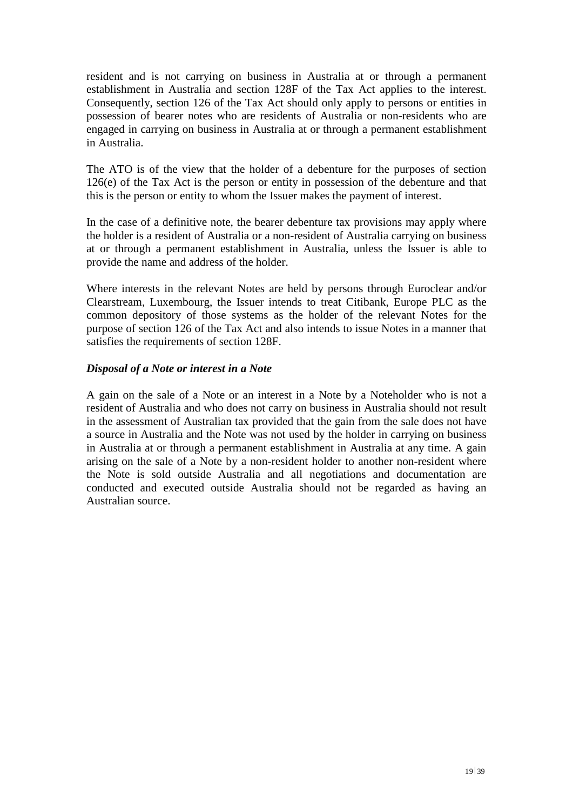resident and is not carrying on business in Australia at or through a permanent establishment in Australia and section 128F of the Tax Act applies to the interest. Consequently, section 126 of the Tax Act should only apply to persons or entities in possession of bearer notes who are residents of Australia or non-residents who are engaged in carrying on business in Australia at or through a permanent establishment in Australia.

The ATO is of the view that the holder of a debenture for the purposes of section 126(e) of the Tax Act is the person or entity in possession of the debenture and that this is the person or entity to whom the Issuer makes the payment of interest.

In the case of a definitive note, the bearer debenture tax provisions may apply where the holder is a resident of Australia or a non-resident of Australia carrying on business at or through a permanent establishment in Australia, unless the Issuer is able to provide the name and address of the holder.

Where interests in the relevant Notes are held by persons through Euroclear and/or Clearstream, Luxembourg, the Issuer intends to treat Citibank, Europe PLC as the common depository of those systems as the holder of the relevant Notes for the purpose of section 126 of the Tax Act and also intends to issue Notes in a manner that satisfies the requirements of section 128F.

## *Disposal of a Note or interest in a Note*

A gain on the sale of a Note or an interest in a Note by a Noteholder who is not a resident of Australia and who does not carry on business in Australia should not result in the assessment of Australian tax provided that the gain from the sale does not have a source in Australia and the Note was not used by the holder in carrying on business in Australia at or through a permanent establishment in Australia at any time. A gain arising on the sale of a Note by a non-resident holder to another non-resident where the Note is sold outside Australia and all negotiations and documentation are conducted and executed outside Australia should not be regarded as having an Australian source.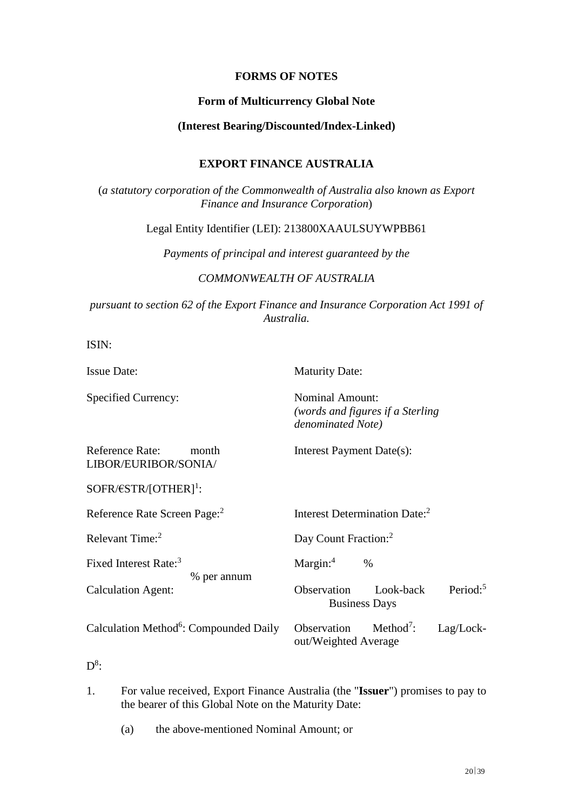## **FORMS OF NOTES**

### **Form of Multicurrency Global Note**

#### **(Interest Bearing/Discounted/Index-Linked)**

### **EXPORT FINANCE AUSTRALIA**

(*a statutory corporation of the Commonwealth of Australia also known as Export Finance and Insurance Corporation*)

Legal Entity Identifier (LEI): 213800XAAULSUYWPBB61

*Payments of principal and interest guaranteed by the* 

### *COMMONWEALTH OF AUSTRALIA*

*pursuant to section 62 of the Export Finance and Insurance Corporation Act 1991 of Australia.*

ISIN:

Issue Date: Maturity Date:

Specified Currency: Nominal Amount:

*(words and figures if a Sterling denominated Note)* 

Reference Rate: month Interest Payment Date(s): LIBOR/EURIBOR/SONIA/

 $SOFR/ESTR/[OTHER]^1$ :

Reference Rate Screen Page:<sup>2</sup>

Fixed Interest Rate:<sup>3</sup> Margin:<sup>4</sup> %

% per annum

Interest Determination Date:<sup>2</sup>

Relevant Time:<sup>2</sup> Day Count Fraction:<sup>2</sup>

Calculation Agent: Observation Look-back Period:<sup>5</sup> Business Days

Calculation Method<sup>6</sup>: Compounded Daily Observation Method<sup>7</sup>

Method<sup>7</sup>: Lag/Lockout/Weighted Average

 $\mathrm{D}^{8}$ :

1. For value received, Export Finance Australia (the "**Issuer**") promises to pay to the bearer of this Global Note on the Maturity Date:

(a) the above-mentioned Nominal Amount; or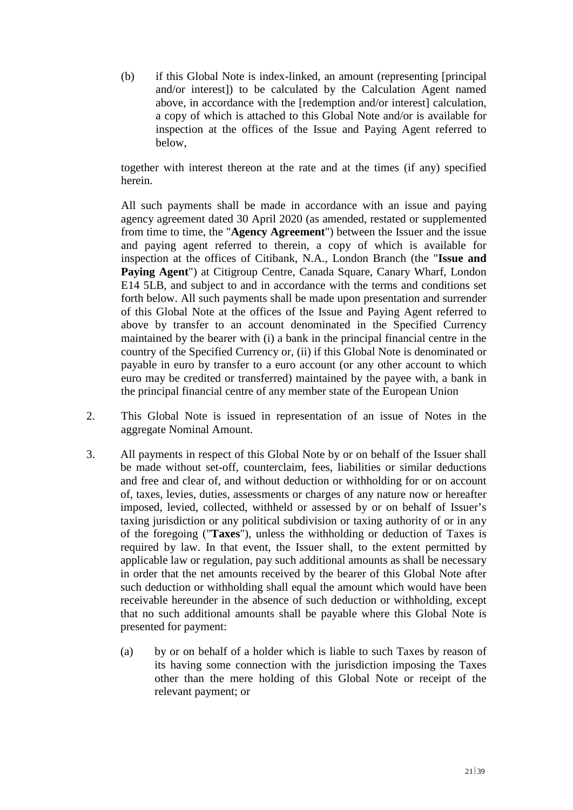(b) if this Global Note is index-linked, an amount (representing [principal and/or interest]) to be calculated by the Calculation Agent named above, in accordance with the [redemption and/or interest] calculation, a copy of which is attached to this Global Note and/or is available for inspection at the offices of the Issue and Paying Agent referred to below,

together with interest thereon at the rate and at the times (if any) specified herein.

All such payments shall be made in accordance with an issue and paying agency agreement dated 30 April 2020 (as amended, restated or supplemented from time to time, the "**Agency Agreement**") between the Issuer and the issue and paying agent referred to therein, a copy of which is available for inspection at the offices of Citibank, N.A., London Branch (the "**Issue and Paying Agent**") at Citigroup Centre, Canada Square, Canary Wharf, London E14 5LB, and subject to and in accordance with the terms and conditions set forth below. All such payments shall be made upon presentation and surrender of this Global Note at the offices of the Issue and Paying Agent referred to above by transfer to an account denominated in the Specified Currency maintained by the bearer with (i) a bank in the principal financial centre in the country of the Specified Currency or, (ii) if this Global Note is denominated or payable in euro by transfer to a euro account (or any other account to which euro may be credited or transferred) maintained by the payee with, a bank in the principal financial centre of any member state of the European Union

- 2. This Global Note is issued in representation of an issue of Notes in the aggregate Nominal Amount.
- 3. All payments in respect of this Global Note by or on behalf of the Issuer shall be made without set-off, counterclaim, fees, liabilities or similar deductions and free and clear of, and without deduction or withholding for or on account of, taxes, levies, duties, assessments or charges of any nature now or hereafter imposed, levied, collected, withheld or assessed by or on behalf of Issuer's taxing jurisdiction or any political subdivision or taxing authority of or in any of the foregoing ("**Taxes**"), unless the withholding or deduction of Taxes is required by law. In that event, the Issuer shall, to the extent permitted by applicable law or regulation, pay such additional amounts as shall be necessary in order that the net amounts received by the bearer of this Global Note after such deduction or withholding shall equal the amount which would have been receivable hereunder in the absence of such deduction or withholding, except that no such additional amounts shall be payable where this Global Note is presented for payment:
	- (a) by or on behalf of a holder which is liable to such Taxes by reason of its having some connection with the jurisdiction imposing the Taxes other than the mere holding of this Global Note or receipt of the relevant payment; or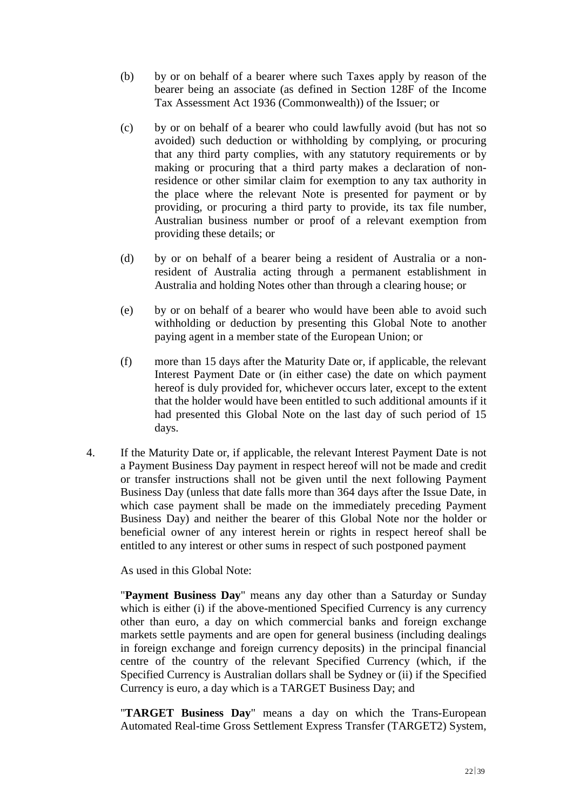- (b) by or on behalf of a bearer where such Taxes apply by reason of the bearer being an associate (as defined in Section 128F of the Income Tax Assessment Act 1936 (Commonwealth)) of the Issuer; or
- (c) by or on behalf of a bearer who could lawfully avoid (but has not so avoided) such deduction or withholding by complying, or procuring that any third party complies, with any statutory requirements or by making or procuring that a third party makes a declaration of nonresidence or other similar claim for exemption to any tax authority in the place where the relevant Note is presented for payment or by providing, or procuring a third party to provide, its tax file number, Australian business number or proof of a relevant exemption from providing these details; or
- (d) by or on behalf of a bearer being a resident of Australia or a nonresident of Australia acting through a permanent establishment in Australia and holding Notes other than through a clearing house; or
- (e) by or on behalf of a bearer who would have been able to avoid such withholding or deduction by presenting this Global Note to another paying agent in a member state of the European Union; or
- (f) more than 15 days after the Maturity Date or, if applicable, the relevant Interest Payment Date or (in either case) the date on which payment hereof is duly provided for, whichever occurs later, except to the extent that the holder would have been entitled to such additional amounts if it had presented this Global Note on the last day of such period of 15 days.
- 4. If the Maturity Date or, if applicable, the relevant Interest Payment Date is not a Payment Business Day payment in respect hereof will not be made and credit or transfer instructions shall not be given until the next following Payment Business Day (unless that date falls more than 364 days after the Issue Date, in which case payment shall be made on the immediately preceding Payment Business Day) and neither the bearer of this Global Note nor the holder or beneficial owner of any interest herein or rights in respect hereof shall be entitled to any interest or other sums in respect of such postponed payment

As used in this Global Note:

"**Payment Business Day**" means any day other than a Saturday or Sunday which is either (i) if the above-mentioned Specified Currency is any currency other than euro, a day on which commercial banks and foreign exchange markets settle payments and are open for general business (including dealings in foreign exchange and foreign currency deposits) in the principal financial centre of the country of the relevant Specified Currency (which, if the Specified Currency is Australian dollars shall be Sydney or (ii) if the Specified Currency is euro, a day which is a TARGET Business Day; and

"**TARGET Business Day**" means a day on which the Trans-European Automated Real-time Gross Settlement Express Transfer (TARGET2) System,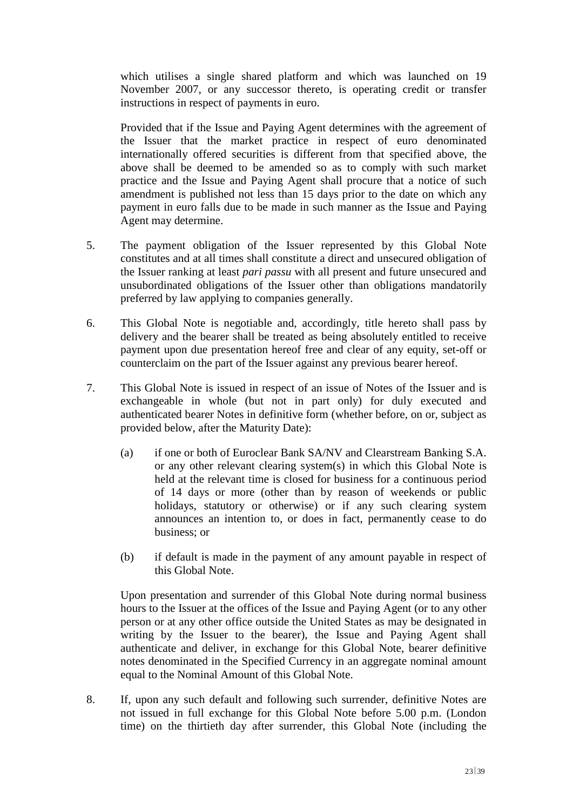which utilises a single shared platform and which was launched on 19 November 2007, or any successor thereto, is operating credit or transfer instructions in respect of payments in euro.

Provided that if the Issue and Paying Agent determines with the agreement of the Issuer that the market practice in respect of euro denominated internationally offered securities is different from that specified above, the above shall be deemed to be amended so as to comply with such market practice and the Issue and Paying Agent shall procure that a notice of such amendment is published not less than 15 days prior to the date on which any payment in euro falls due to be made in such manner as the Issue and Paying Agent may determine.

- 5. The payment obligation of the Issuer represented by this Global Note constitutes and at all times shall constitute a direct and unsecured obligation of the Issuer ranking at least *pari passu* with all present and future unsecured and unsubordinated obligations of the Issuer other than obligations mandatorily preferred by law applying to companies generally.
- 6. This Global Note is negotiable and, accordingly, title hereto shall pass by delivery and the bearer shall be treated as being absolutely entitled to receive payment upon due presentation hereof free and clear of any equity, set-off or counterclaim on the part of the Issuer against any previous bearer hereof.
- 7. This Global Note is issued in respect of an issue of Notes of the Issuer and is exchangeable in whole (but not in part only) for duly executed and authenticated bearer Notes in definitive form (whether before, on or, subject as provided below, after the Maturity Date):
	- (a) if one or both of Euroclear Bank SA/NV and Clearstream Banking S.A. or any other relevant clearing system(s) in which this Global Note is held at the relevant time is closed for business for a continuous period of 14 days or more (other than by reason of weekends or public holidays, statutory or otherwise) or if any such clearing system announces an intention to, or does in fact, permanently cease to do business; or
	- (b) if default is made in the payment of any amount payable in respect of this Global Note.

Upon presentation and surrender of this Global Note during normal business hours to the Issuer at the offices of the Issue and Paying Agent (or to any other person or at any other office outside the United States as may be designated in writing by the Issuer to the bearer), the Issue and Paying Agent shall authenticate and deliver, in exchange for this Global Note, bearer definitive notes denominated in the Specified Currency in an aggregate nominal amount equal to the Nominal Amount of this Global Note.

8. If, upon any such default and following such surrender, definitive Notes are not issued in full exchange for this Global Note before 5.00 p.m. (London time) on the thirtieth day after surrender, this Global Note (including the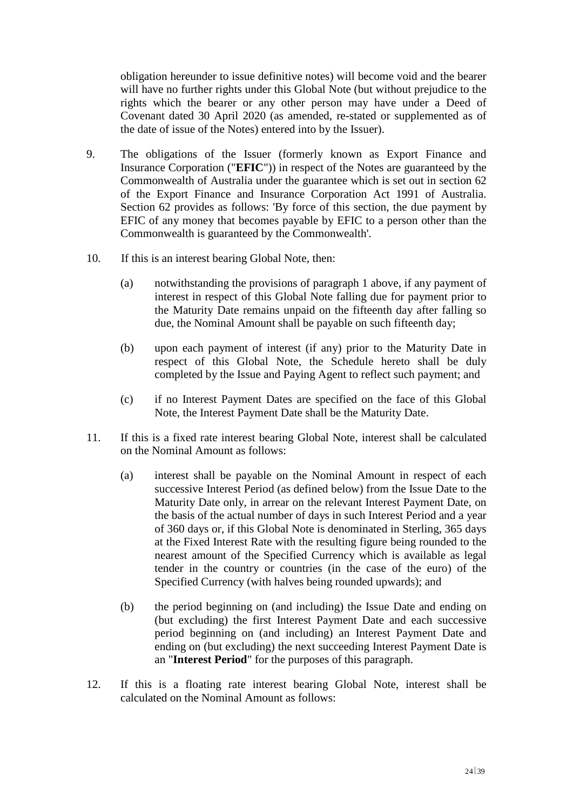obligation hereunder to issue definitive notes) will become void and the bearer will have no further rights under this Global Note (but without prejudice to the rights which the bearer or any other person may have under a Deed of Covenant dated 30 April 2020 (as amended, re-stated or supplemented as of the date of issue of the Notes) entered into by the Issuer).

- 9. The obligations of the Issuer (formerly known as Export Finance and Insurance Corporation ("**EFIC**")) in respect of the Notes are guaranteed by the Commonwealth of Australia under the guarantee which is set out in section 62 of the Export Finance and Insurance Corporation Act 1991 of Australia. Section 62 provides as follows: 'By force of this section, the due payment by EFIC of any money that becomes payable by EFIC to a person other than the Commonwealth is guaranteed by the Commonwealth'.
- 10. If this is an interest bearing Global Note, then:
	- (a) notwithstanding the provisions of paragraph 1 above, if any payment of interest in respect of this Global Note falling due for payment prior to the Maturity Date remains unpaid on the fifteenth day after falling so due, the Nominal Amount shall be payable on such fifteenth day;
	- (b) upon each payment of interest (if any) prior to the Maturity Date in respect of this Global Note, the Schedule hereto shall be duly completed by the Issue and Paying Agent to reflect such payment; and
	- (c) if no Interest Payment Dates are specified on the face of this Global Note, the Interest Payment Date shall be the Maturity Date.
- 11. If this is a fixed rate interest bearing Global Note, interest shall be calculated on the Nominal Amount as follows:
	- (a) interest shall be payable on the Nominal Amount in respect of each successive Interest Period (as defined below) from the Issue Date to the Maturity Date only, in arrear on the relevant Interest Payment Date, on the basis of the actual number of days in such Interest Period and a year of 360 days or, if this Global Note is denominated in Sterling, 365 days at the Fixed Interest Rate with the resulting figure being rounded to the nearest amount of the Specified Currency which is available as legal tender in the country or countries (in the case of the euro) of the Specified Currency (with halves being rounded upwards); and
	- (b) the period beginning on (and including) the Issue Date and ending on (but excluding) the first Interest Payment Date and each successive period beginning on (and including) an Interest Payment Date and ending on (but excluding) the next succeeding Interest Payment Date is an "**Interest Period**" for the purposes of this paragraph.
- 12. If this is a floating rate interest bearing Global Note, interest shall be calculated on the Nominal Amount as follows: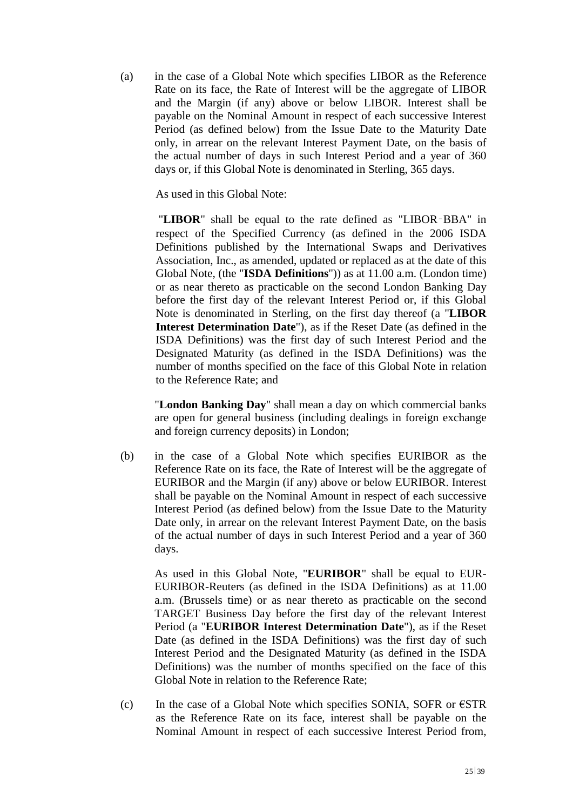(a) in the case of a Global Note which specifies LIBOR as the Reference Rate on its face, the Rate of Interest will be the aggregate of LIBOR and the Margin (if any) above or below LIBOR. Interest shall be payable on the Nominal Amount in respect of each successive Interest Period (as defined below) from the Issue Date to the Maturity Date only, in arrear on the relevant Interest Payment Date, on the basis of the actual number of days in such Interest Period and a year of 360 days or, if this Global Note is denominated in Sterling, 365 days.

As used in this Global Note:

"**LIBOR**" shall be equal to the rate defined as "LIBOR‑BBA" in respect of the Specified Currency (as defined in the 2006 ISDA Definitions published by the International Swaps and Derivatives Association, Inc., as amended, updated or replaced as at the date of this Global Note, (the "**ISDA Definitions**")) as at 11.00 a.m. (London time) or as near thereto as practicable on the second London Banking Day before the first day of the relevant Interest Period or, if this Global Note is denominated in Sterling, on the first day thereof (a "**LIBOR Interest Determination Date**"), as if the Reset Date (as defined in the ISDA Definitions) was the first day of such Interest Period and the Designated Maturity (as defined in the ISDA Definitions) was the number of months specified on the face of this Global Note in relation to the Reference Rate; and

"**London Banking Day**" shall mean a day on which commercial banks are open for general business (including dealings in foreign exchange and foreign currency deposits) in London;

(b) in the case of a Global Note which specifies EURIBOR as the Reference Rate on its face, the Rate of Interest will be the aggregate of EURIBOR and the Margin (if any) above or below EURIBOR. Interest shall be payable on the Nominal Amount in respect of each successive Interest Period (as defined below) from the Issue Date to the Maturity Date only, in arrear on the relevant Interest Payment Date, on the basis of the actual number of days in such Interest Period and a year of 360 days.

As used in this Global Note, "**EURIBOR**" shall be equal to EUR-EURIBOR-Reuters (as defined in the ISDA Definitions) as at 11.00 a.m. (Brussels time) or as near thereto as practicable on the second TARGET Business Day before the first day of the relevant Interest Period (a "**EURIBOR Interest Determination Date**"), as if the Reset Date (as defined in the ISDA Definitions) was the first day of such Interest Period and the Designated Maturity (as defined in the ISDA Definitions) was the number of months specified on the face of this Global Note in relation to the Reference Rate;

(c) In the case of a Global Note which specifies SONIA, SOFR or  $\epsilon$ STR as the Reference Rate on its face, interest shall be payable on the Nominal Amount in respect of each successive Interest Period from,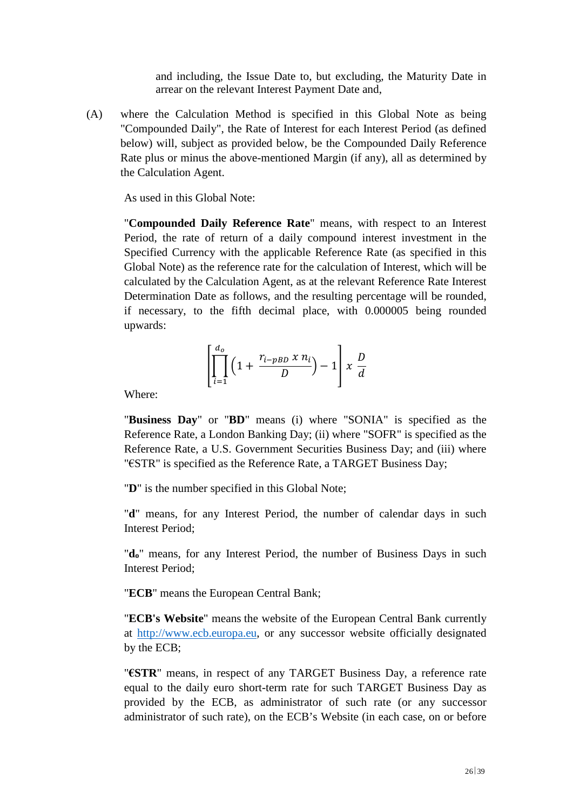and including, the Issue Date to, but excluding, the Maturity Date in arrear on the relevant Interest Payment Date and,

(A) where the Calculation Method is specified in this Global Note as being "Compounded Daily", the Rate of Interest for each Interest Period (as defined below) will, subject as provided below, be the Compounded Daily Reference Rate plus or minus the above-mentioned Margin (if any), all as determined by the Calculation Agent.

As used in this Global Note:

"**Compounded Daily Reference Rate**" means, with respect to an Interest Period, the rate of return of a daily compound interest investment in the Specified Currency with the applicable Reference Rate (as specified in this Global Note) as the reference rate for the calculation of Interest, which will be calculated by the Calculation Agent, as at the relevant Reference Rate Interest Determination Date as follows, and the resulting percentage will be rounded, if necessary, to the fifth decimal place, with 0.000005 being rounded upwards:

$$
\left[\prod_{i=1}^{d_o} \left(1 + \frac{r_{i-pBD} x n_i}{D}\right) - 1\right] x \frac{D}{d}
$$

Where:

"**Business Day**" or "**BD**" means (i) where "SONIA" is specified as the Reference Rate, a London Banking Day; (ii) where "SOFR" is specified as the Reference Rate, a U.S. Government Securities Business Day; and (iii) where "€STR" is specified as the Reference Rate, a TARGET Business Day;

"**D**" is the number specified in this Global Note;

"**d**" means, for any Interest Period, the number of calendar days in such Interest Period;

"**do**" means, for any Interest Period, the number of Business Days in such Interest Period;

"**ECB**" means the European Central Bank;

"**ECB's Website**" means the website of the European Central Bank currently at [http://www.ecb.europa.eu,](http://www.ecb.europa.eu/) or any successor website officially designated by the ECB;

"**€STR**" means, in respect of any TARGET Business Day, a reference rate equal to the daily euro short-term rate for such TARGET Business Day as provided by the ECB, as administrator of such rate (or any successor administrator of such rate), on the ECB's Website (in each case, on or before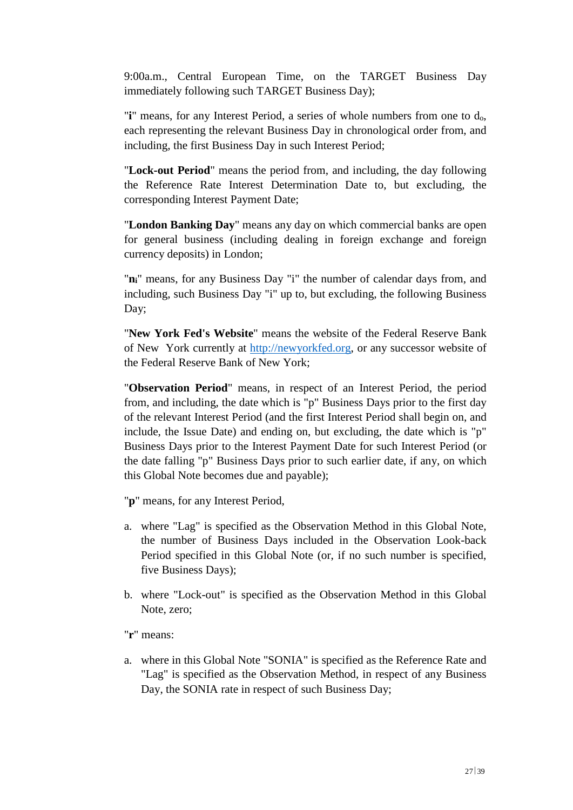9:00a.m., Central European Time, on the TARGET Business Day immediately following such TARGET Business Day);

"**i**" means, for any Interest Period, a series of whole numbers from one to do, each representing the relevant Business Day in chronological order from, and including, the first Business Day in such Interest Period;

"**Lock-out Period**" means the period from, and including, the day following the Reference Rate Interest Determination Date to, but excluding, the corresponding Interest Payment Date;

"**London Banking Day**" means any day on which commercial banks are open for general business (including dealing in foreign exchange and foreign currency deposits) in London;

"**ni**" means, for any Business Day "i" the number of calendar days from, and including, such Business Day "i" up to, but excluding, the following Business Day;

"**New York Fed's Website**" means the website of the Federal Reserve Bank of New York currently at [http://newyorkfed.org,](http://newyorkfed.org/) or any successor website of the Federal Reserve Bank of New York;

"**Observation Period**" means, in respect of an Interest Period, the period from, and including, the date which is "p" Business Days prior to the first day of the relevant Interest Period (and the first Interest Period shall begin on, and include, the Issue Date) and ending on, but excluding, the date which is "p" Business Days prior to the Interest Payment Date for such Interest Period (or the date falling "p" Business Days prior to such earlier date, if any, on which this Global Note becomes due and payable);

"**p**" means, for any Interest Period,

- a. where "Lag" is specified as the Observation Method in this Global Note, the number of Business Days included in the Observation Look-back Period specified in this Global Note (or, if no such number is specified, five Business Days);
- b. where "Lock-out" is specified as the Observation Method in this Global Note, zero;

"**r**" means:

a. where in this Global Note "SONIA" is specified as the Reference Rate and "Lag" is specified as the Observation Method, in respect of any Business Day, the SONIA rate in respect of such Business Day;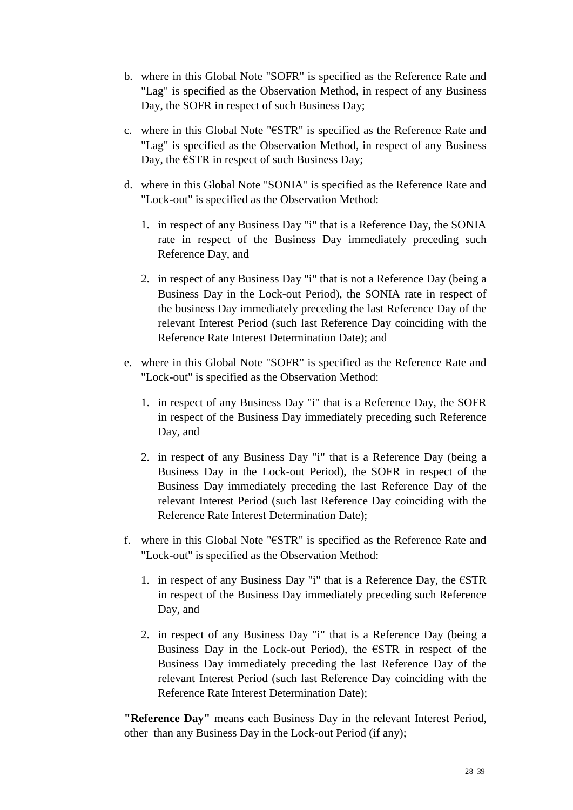- b. where in this Global Note "SOFR" is specified as the Reference Rate and "Lag" is specified as the Observation Method, in respect of any Business Day, the SOFR in respect of such Business Day;
- c. where in this Global Note "€STR" is specified as the Reference Rate and "Lag" is specified as the Observation Method, in respect of any Business Day, the  $\epsilon$ STR in respect of such Business Day;
- d. where in this Global Note "SONIA" is specified as the Reference Rate and "Lock-out" is specified as the Observation Method:
	- 1. in respect of any Business Day "i" that is a Reference Day, the SONIA rate in respect of the Business Day immediately preceding such Reference Day, and
	- 2. in respect of any Business Day "i" that is not a Reference Day (being a Business Day in the Lock-out Period), the SONIA rate in respect of the business Day immediately preceding the last Reference Day of the relevant Interest Period (such last Reference Day coinciding with the Reference Rate Interest Determination Date); and
- e. where in this Global Note "SOFR" is specified as the Reference Rate and "Lock-out" is specified as the Observation Method:
	- 1. in respect of any Business Day "i" that is a Reference Day, the SOFR in respect of the Business Day immediately preceding such Reference Day, and
	- 2. in respect of any Business Day "i" that is a Reference Day (being a Business Day in the Lock-out Period), the SOFR in respect of the Business Day immediately preceding the last Reference Day of the relevant Interest Period (such last Reference Day coinciding with the Reference Rate Interest Determination Date);
- f. where in this Global Note "€STR" is specified as the Reference Rate and "Lock-out" is specified as the Observation Method:
	- 1. in respect of any Business Day "i" that is a Reference Day, the  $\epsilon$ STR in respect of the Business Day immediately preceding such Reference Day, and
	- 2. in respect of any Business Day "i" that is a Reference Day (being a Business Day in the Lock-out Period), the  $\epsilon$ STR in respect of the Business Day immediately preceding the last Reference Day of the relevant Interest Period (such last Reference Day coinciding with the Reference Rate Interest Determination Date);

**"Reference Day"** means each Business Day in the relevant Interest Period, other than any Business Day in the Lock-out Period (if any);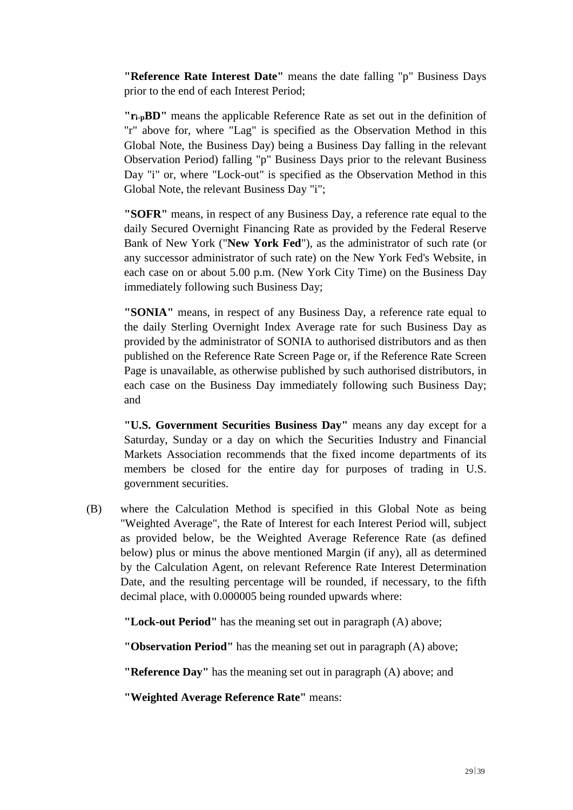**"Reference Rate Interest Date"** means the date falling "p" Business Days prior to the end of each Interest Period;

**"ri-pBD"** means the applicable Reference Rate as set out in the definition of "r" above for, where "Lag" is specified as the Observation Method in this Global Note, the Business Day) being a Business Day falling in the relevant Observation Period) falling "p" Business Days prior to the relevant Business Day "i" or, where "Lock-out" is specified as the Observation Method in this Global Note, the relevant Business Day "i";

**"SOFR"** means, in respect of any Business Day, a reference rate equal to the daily Secured Overnight Financing Rate as provided by the Federal Reserve Bank of New York ("**New York Fed**"), as the administrator of such rate (or any successor administrator of such rate) on the New York Fed's Website, in each case on or about 5.00 p.m. (New York City Time) on the Business Day immediately following such Business Day;

**"SONIA"** means, in respect of any Business Day, a reference rate equal to the daily Sterling Overnight Index Average rate for such Business Day as provided by the administrator of SONIA to authorised distributors and as then published on the Reference Rate Screen Page or, if the Reference Rate Screen Page is unavailable, as otherwise published by such authorised distributors, in each case on the Business Day immediately following such Business Day; and

**"U.S. Government Securities Business Day"** means any day except for a Saturday, Sunday or a day on which the Securities Industry and Financial Markets Association recommends that the fixed income departments of its members be closed for the entire day for purposes of trading in U.S. government securities.

(B) where the Calculation Method is specified in this Global Note as being "Weighted Average", the Rate of Interest for each Interest Period will, subject as provided below, be the Weighted Average Reference Rate (as defined below) plus or minus the above mentioned Margin (if any), all as determined by the Calculation Agent, on relevant Reference Rate Interest Determination Date, and the resulting percentage will be rounded, if necessary, to the fifth decimal place, with 0.000005 being rounded upwards where:

**"Lock-out Period"** has the meaning set out in paragraph (A) above;

**"Observation Period"** has the meaning set out in paragraph (A) above;

**"Reference Day"** has the meaning set out in paragraph (A) above; and

**"Weighted Average Reference Rate"** means: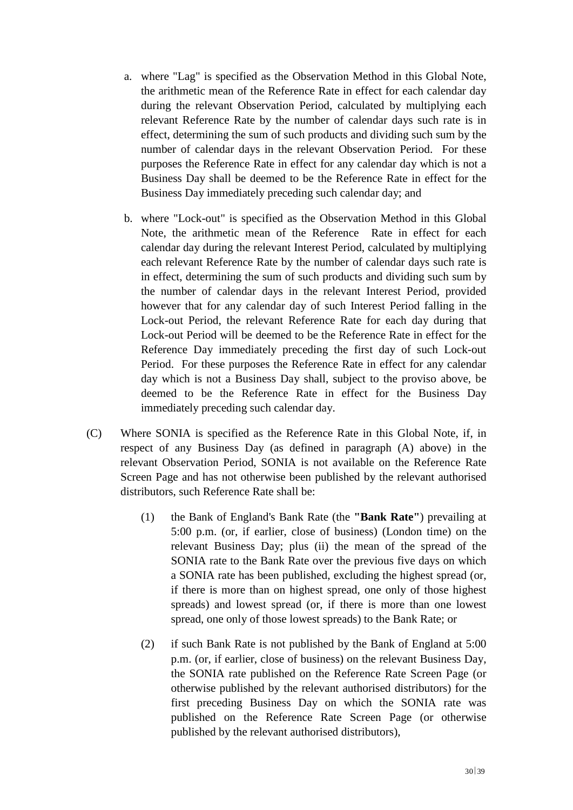- a. where "Lag" is specified as the Observation Method in this Global Note, the arithmetic mean of the Reference Rate in effect for each calendar day during the relevant Observation Period, calculated by multiplying each relevant Reference Rate by the number of calendar days such rate is in effect, determining the sum of such products and dividing such sum by the number of calendar days in the relevant Observation Period. For these purposes the Reference Rate in effect for any calendar day which is not a Business Day shall be deemed to be the Reference Rate in effect for the Business Day immediately preceding such calendar day; and
- b. where "Lock-out" is specified as the Observation Method in this Global Note, the arithmetic mean of the Reference Rate in effect for each calendar day during the relevant Interest Period, calculated by multiplying each relevant Reference Rate by the number of calendar days such rate is in effect, determining the sum of such products and dividing such sum by the number of calendar days in the relevant Interest Period, provided however that for any calendar day of such Interest Period falling in the Lock-out Period, the relevant Reference Rate for each day during that Lock-out Period will be deemed to be the Reference Rate in effect for the Reference Day immediately preceding the first day of such Lock-out Period. For these purposes the Reference Rate in effect for any calendar day which is not a Business Day shall, subject to the proviso above, be deemed to be the Reference Rate in effect for the Business Day immediately preceding such calendar day.
- (C) Where SONIA is specified as the Reference Rate in this Global Note, if, in respect of any Business Day (as defined in paragraph (A) above) in the relevant Observation Period, SONIA is not available on the Reference Rate Screen Page and has not otherwise been published by the relevant authorised distributors, such Reference Rate shall be:
	- (1) the Bank of England's Bank Rate (the **"Bank Rate"**) prevailing at 5:00 p.m. (or, if earlier, close of business) (London time) on the relevant Business Day; plus (ii) the mean of the spread of the SONIA rate to the Bank Rate over the previous five days on which a SONIA rate has been published, excluding the highest spread (or, if there is more than on highest spread, one only of those highest spreads) and lowest spread (or, if there is more than one lowest spread, one only of those lowest spreads) to the Bank Rate; or
	- (2) if such Bank Rate is not published by the Bank of England at 5:00 p.m. (or, if earlier, close of business) on the relevant Business Day, the SONIA rate published on the Reference Rate Screen Page (or otherwise published by the relevant authorised distributors) for the first preceding Business Day on which the SONIA rate was published on the Reference Rate Screen Page (or otherwise published by the relevant authorised distributors),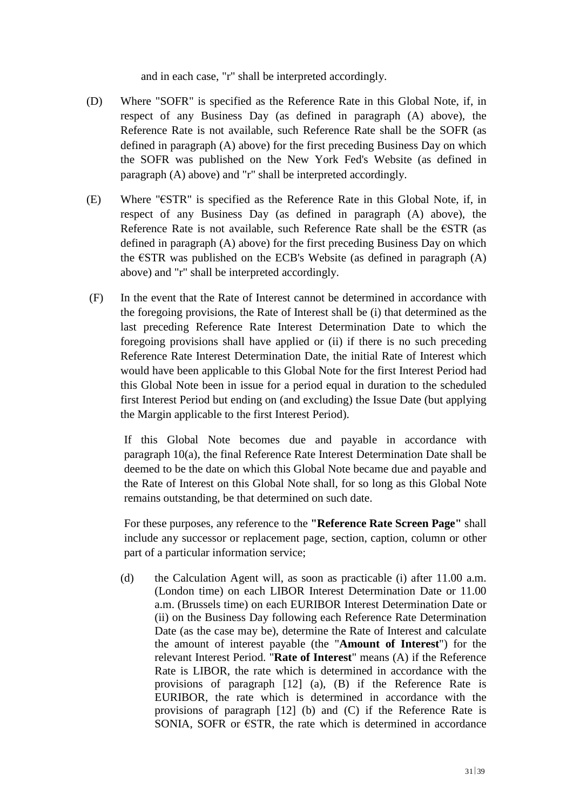and in each case, "r" shall be interpreted accordingly.

- (D) Where "SOFR" is specified as the Reference Rate in this Global Note, if, in respect of any Business Day (as defined in paragraph (A) above), the Reference Rate is not available, such Reference Rate shall be the SOFR (as defined in paragraph (A) above) for the first preceding Business Day on which the SOFR was published on the New York Fed's Website (as defined in paragraph (A) above) and "r" shall be interpreted accordingly.
- (E) Where "€STR" is specified as the Reference Rate in this Global Note, if, in respect of any Business Day (as defined in paragraph (A) above), the Reference Rate is not available, such Reference Rate shall be the  $\epsilon$ STR (as defined in paragraph (A) above) for the first preceding Business Day on which the  $\epsilon$ STR was published on the ECB's Website (as defined in paragraph (A) above) and "r" shall be interpreted accordingly.
- (F) In the event that the Rate of Interest cannot be determined in accordance with the foregoing provisions, the Rate of Interest shall be (i) that determined as the last preceding Reference Rate Interest Determination Date to which the foregoing provisions shall have applied or (ii) if there is no such preceding Reference Rate Interest Determination Date, the initial Rate of Interest which would have been applicable to this Global Note for the first Interest Period had this Global Note been in issue for a period equal in duration to the scheduled first Interest Period but ending on (and excluding) the Issue Date (but applying the Margin applicable to the first Interest Period).

If this Global Note becomes due and payable in accordance with paragraph 10(a), the final Reference Rate Interest Determination Date shall be deemed to be the date on which this Global Note became due and payable and the Rate of Interest on this Global Note shall, for so long as this Global Note remains outstanding, be that determined on such date.

For these purposes, any reference to the **"Reference Rate Screen Page"** shall include any successor or replacement page, section, caption, column or other part of a particular information service;

(d) the Calculation Agent will, as soon as practicable (i) after 11.00 a.m. (London time) on each LIBOR Interest Determination Date or 11.00 a.m. (Brussels time) on each EURIBOR Interest Determination Date or (ii) on the Business Day following each Reference Rate Determination Date (as the case may be), determine the Rate of Interest and calculate the amount of interest payable (the "**Amount of Interest**") for the relevant Interest Period. "**Rate of Interest**" means (A) if the Reference Rate is LIBOR, the rate which is determined in accordance with the provisions of paragraph [12] (a), (B) if the Reference Rate is EURIBOR, the rate which is determined in accordance with the provisions of paragraph [12] (b) and (C) if the Reference Rate is SONIA, SOFR or  $\epsilon$ STR, the rate which is determined in accordance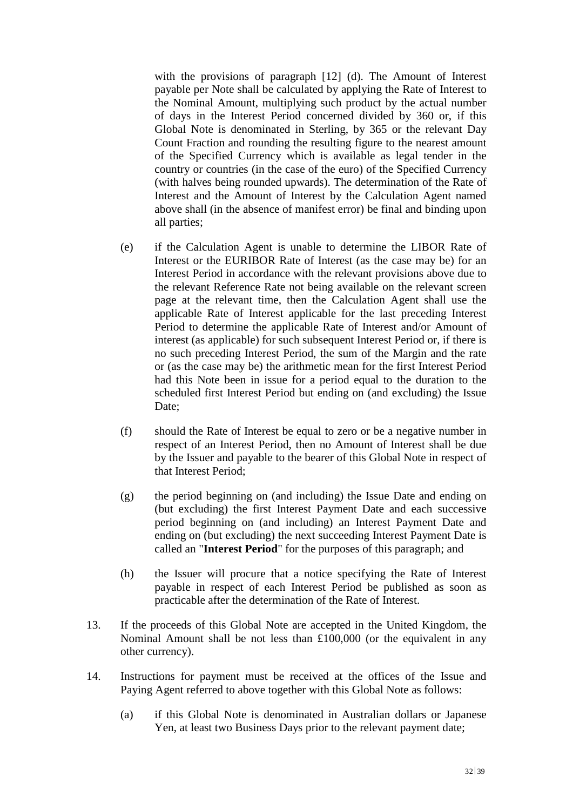with the provisions of paragraph [12] (d). The Amount of Interest payable per Note shall be calculated by applying the Rate of Interest to the Nominal Amount, multiplying such product by the actual number of days in the Interest Period concerned divided by 360 or, if this Global Note is denominated in Sterling, by 365 or the relevant Day Count Fraction and rounding the resulting figure to the nearest amount of the Specified Currency which is available as legal tender in the country or countries (in the case of the euro) of the Specified Currency (with halves being rounded upwards). The determination of the Rate of Interest and the Amount of Interest by the Calculation Agent named above shall (in the absence of manifest error) be final and binding upon all parties;

- (e) if the Calculation Agent is unable to determine the LIBOR Rate of Interest or the EURIBOR Rate of Interest (as the case may be) for an Interest Period in accordance with the relevant provisions above due to the relevant Reference Rate not being available on the relevant screen page at the relevant time, then the Calculation Agent shall use the applicable Rate of Interest applicable for the last preceding Interest Period to determine the applicable Rate of Interest and/or Amount of interest (as applicable) for such subsequent Interest Period or, if there is no such preceding Interest Period, the sum of the Margin and the rate or (as the case may be) the arithmetic mean for the first Interest Period had this Note been in issue for a period equal to the duration to the scheduled first Interest Period but ending on (and excluding) the Issue Date;
- (f) should the Rate of Interest be equal to zero or be a negative number in respect of an Interest Period, then no Amount of Interest shall be due by the Issuer and payable to the bearer of this Global Note in respect of that Interest Period;
- (g) the period beginning on (and including) the Issue Date and ending on (but excluding) the first Interest Payment Date and each successive period beginning on (and including) an Interest Payment Date and ending on (but excluding) the next succeeding Interest Payment Date is called an "**Interest Period**" for the purposes of this paragraph; and
- (h) the Issuer will procure that a notice specifying the Rate of Interest payable in respect of each Interest Period be published as soon as practicable after the determination of the Rate of Interest.
- 13. If the proceeds of this Global Note are accepted in the United Kingdom, the Nominal Amount shall be not less than  $£100,000$  (or the equivalent in any other currency).
- 14. Instructions for payment must be received at the offices of the Issue and Paying Agent referred to above together with this Global Note as follows:
	- (a) if this Global Note is denominated in Australian dollars or Japanese Yen, at least two Business Days prior to the relevant payment date;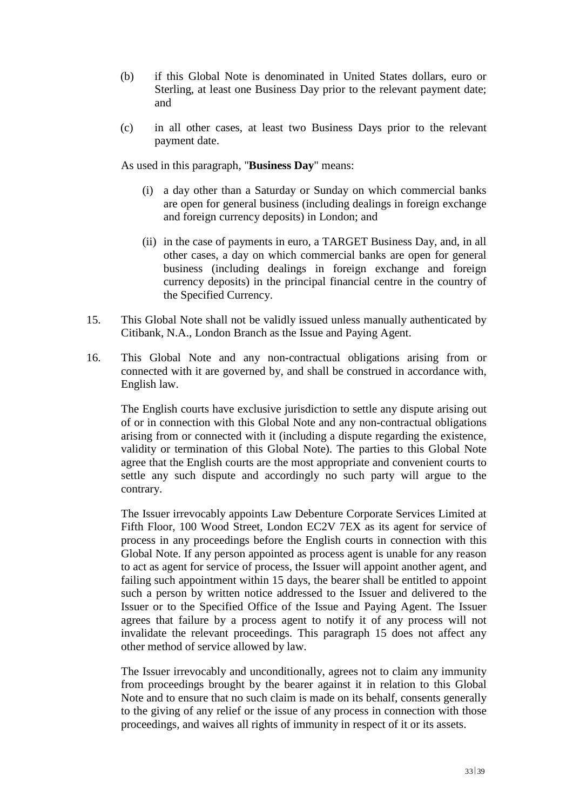- (b) if this Global Note is denominated in United States dollars, euro or Sterling, at least one Business Day prior to the relevant payment date; and
- (c) in all other cases, at least two Business Days prior to the relevant payment date.

As used in this paragraph, "**Business Day**" means:

- (i) a day other than a Saturday or Sunday on which commercial banks are open for general business (including dealings in foreign exchange and foreign currency deposits) in London; and
- (ii) in the case of payments in euro, a TARGET Business Day, and, in all other cases, a day on which commercial banks are open for general business (including dealings in foreign exchange and foreign currency deposits) in the principal financial centre in the country of the Specified Currency.
- 15. This Global Note shall not be validly issued unless manually authenticated by Citibank, N.A., London Branch as the Issue and Paying Agent.
- 16. This Global Note and any non-contractual obligations arising from or connected with it are governed by, and shall be construed in accordance with, English law.

The English courts have exclusive jurisdiction to settle any dispute arising out of or in connection with this Global Note and any non-contractual obligations arising from or connected with it (including a dispute regarding the existence, validity or termination of this Global Note). The parties to this Global Note agree that the English courts are the most appropriate and convenient courts to settle any such dispute and accordingly no such party will argue to the contrary.

The Issuer irrevocably appoints Law Debenture Corporate Services Limited at Fifth Floor, 100 Wood Street, London EC2V 7EX as its agent for service of process in any proceedings before the English courts in connection with this Global Note. If any person appointed as process agent is unable for any reason to act as agent for service of process, the Issuer will appoint another agent, and failing such appointment within 15 days, the bearer shall be entitled to appoint such a person by written notice addressed to the Issuer and delivered to the Issuer or to the Specified Office of the Issue and Paying Agent. The Issuer agrees that failure by a process agent to notify it of any process will not invalidate the relevant proceedings. This paragraph 15 does not affect any other method of service allowed by law.

The Issuer irrevocably and unconditionally, agrees not to claim any immunity from proceedings brought by the bearer against it in relation to this Global Note and to ensure that no such claim is made on its behalf, consents generally to the giving of any relief or the issue of any process in connection with those proceedings, and waives all rights of immunity in respect of it or its assets.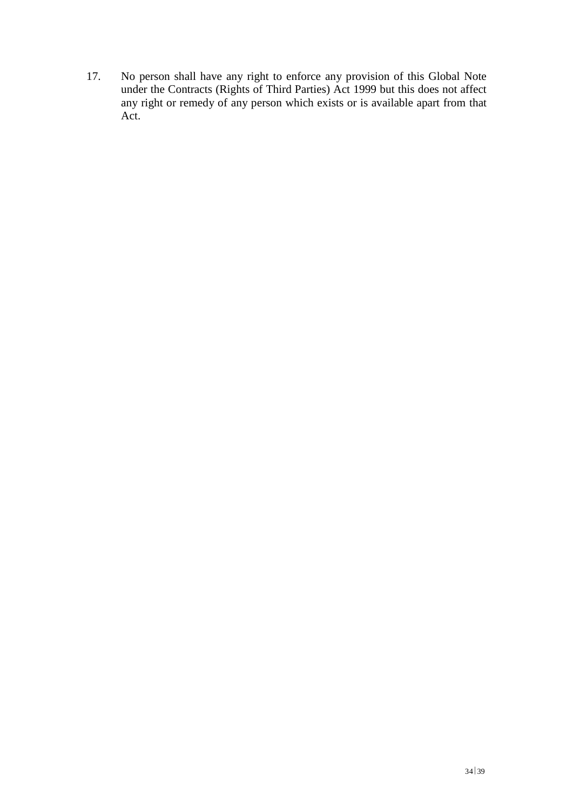17. No person shall have any right to enforce any provision of this Global Note under the Contracts (Rights of Third Parties) Act 1999 but this does not affect any right or remedy of any person which exists or is available apart from that Act.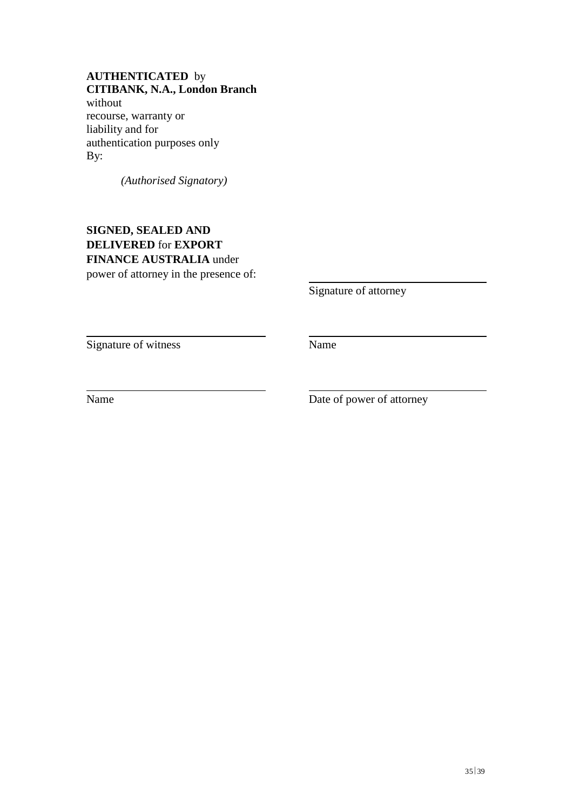### **AUTHENTICATED** by **CITIBANK, N.A., London Branch** without

recourse, warranty or liability and for authentication purposes only By:

*(Authorised Signatory)*

# **SIGNED, SEALED AND DELIVERED** for **EXPORT FINANCE AUSTRALIA** under power of attorney in the presence of:

Signature of attorney

Signature of witness Name

Name Date of power of attorney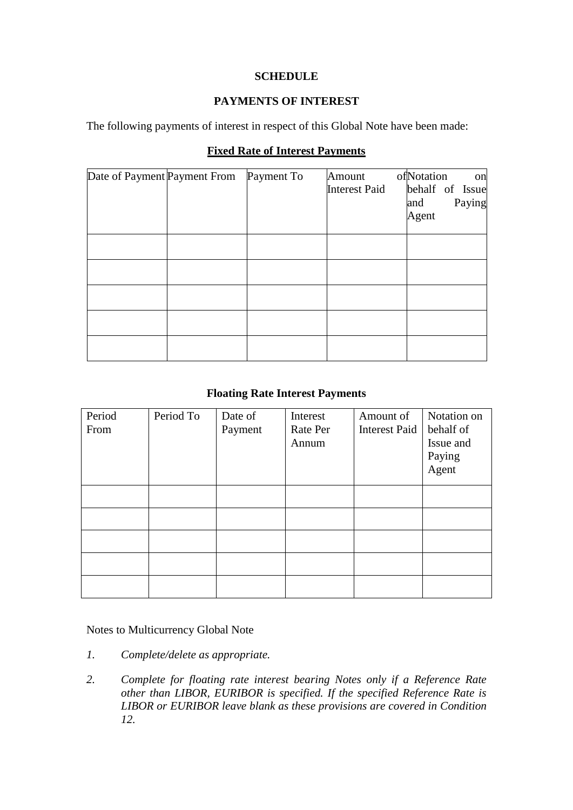## **SCHEDULE**

## **PAYMENTS OF INTEREST**

The following payments of interest in respect of this Global Note have been made:

## **Fixed Rate of Interest Payments**

| Date of Payment Payment From | Payment To | Amount               | ofNotation<br>on |
|------------------------------|------------|----------------------|------------------|
|                              |            | <b>Interest Paid</b> | behalf of Issue  |
|                              |            |                      | Paying<br>and    |
|                              |            |                      | Agent            |
|                              |            |                      |                  |
|                              |            |                      |                  |
|                              |            |                      |                  |
|                              |            |                      |                  |
|                              |            |                      |                  |
|                              |            |                      |                  |
|                              |            |                      |                  |
|                              |            |                      |                  |
|                              |            |                      |                  |

## **Floating Rate Interest Payments**

| Period | Period To | Date of | Interest | Amount of            | Notation on |
|--------|-----------|---------|----------|----------------------|-------------|
| From   |           | Payment | Rate Per | <b>Interest Paid</b> | behalf of   |
|        |           |         | Annum    |                      | Issue and   |
|        |           |         |          |                      | Paying      |
|        |           |         |          |                      | Agent       |
|        |           |         |          |                      |             |
|        |           |         |          |                      |             |
|        |           |         |          |                      |             |
|        |           |         |          |                      |             |
|        |           |         |          |                      |             |

### Notes to Multicurrency Global Note

- *1. Complete/delete as appropriate.*
- *2. Complete for floating rate interest bearing Notes only if a Reference Rate other than LIBOR, EURIBOR is specified. If the specified Reference Rate is LIBOR or EURIBOR leave blank as these provisions are covered in Condition 12.*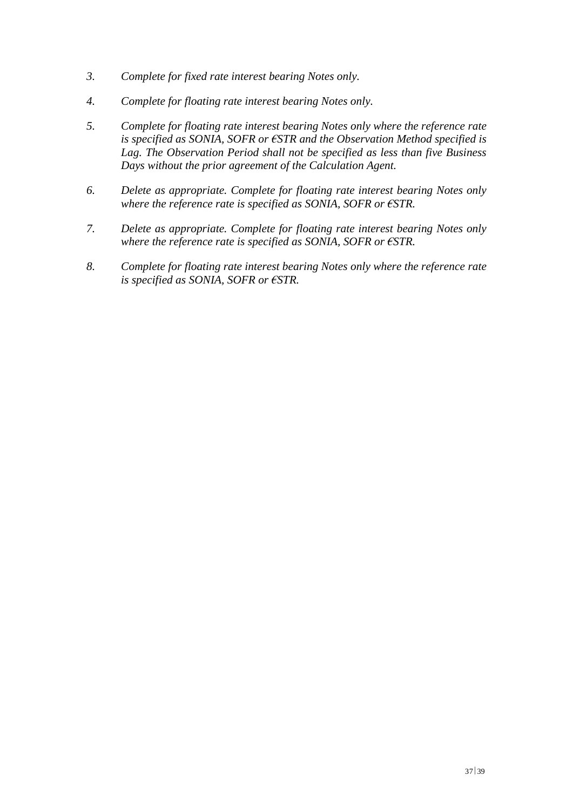- *3. Complete for fixed rate interest bearing Notes only.*
- *4. Complete for floating rate interest bearing Notes only.*
- *5. Complete for floating rate interest bearing Notes only where the reference rate is specified as SONIA, SOFR or €STR and the Observation Method specified is Lag. The Observation Period shall not be specified as less than five Business Days without the prior agreement of the Calculation Agent.*
- *6. Delete as appropriate. Complete for floating rate interest bearing Notes only where the reference rate is specified as SONIA, SOFR or €STR.*
- *7. Delete as appropriate. Complete for floating rate interest bearing Notes only where the reference rate is specified as SONIA, SOFR or €STR.*
- *8. Complete for floating rate interest bearing Notes only where the reference rate is specified as SONIA, SOFR or €STR.*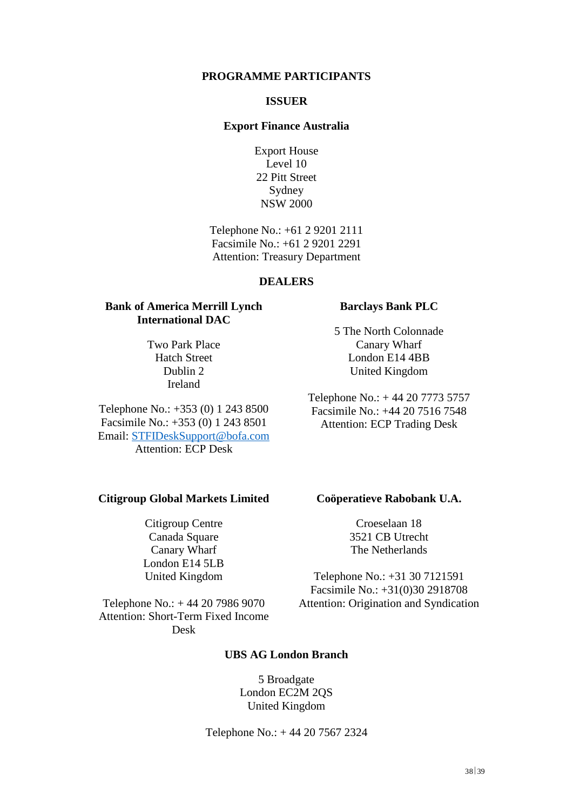#### **PROGRAMME PARTICIPANTS**

#### **ISSUER**

#### **Export Finance Australia**

Export House Level 10 22 Pitt Street Sydney NSW 2000

Telephone No.: +61 2 9201 2111 Facsimile No.: +61 2 9201 2291 Attention: Treasury Department

#### **DEALERS**

### **Bank of America Merrill Lynch International DAC**

Two Park Place Hatch Street Dublin 2 Ireland

Telephone No.: +353 (0) 1 243 8500 Facsimile No.: +353 (0) 1 243 8501 Email: [STFIDeskSupport@bofa.com](mailto:STFIDeskSupport@bofa.com) Attention: ECP Desk

#### **Citigroup Global Markets Limited**

Citigroup Centre Canada Square Canary Wharf London E14 5LB United Kingdom

Telephone No.: + 44 20 7986 9070 Attention: Short-Term Fixed Income Desk

#### **Barclays Bank PLC**

5 The North Colonnade Canary Wharf London E14 4BB United Kingdom

Telephone No.: + 44 20 7773 5757 Facsimile No.: +44 20 7516 7548 Attention: ECP Trading Desk

#### **Coöperatieve Rabobank U.A.**

Croeselaan 18 3521 CB Utrecht The Netherlands

Telephone No.: +31 30 7121591 Facsimile No.: +31(0)30 2918708 Attention: Origination and Syndication

#### **UBS AG London Branch**

5 Broadgate London EC2M 2QS United Kingdom

Telephone No.: + 44 20 7567 2324